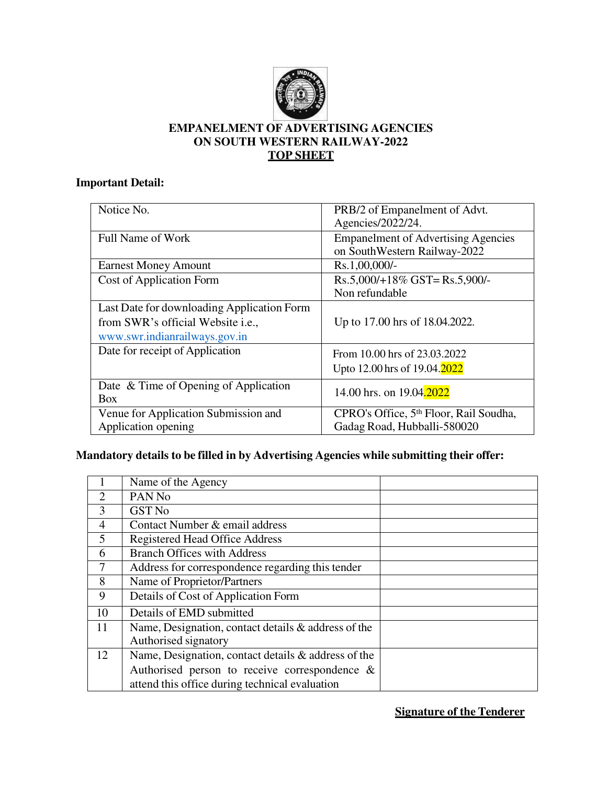

## **EMPANELMENT OF ADVERTISING AGENCIES ON SOUTH WESTERN RAILWAY-2022 TOP SHEET**

# **Important Detail:**

| Notice No.                                 | PRB/2 of Empanelment of Advt.<br>Agencies/2022/24.                         |
|--------------------------------------------|----------------------------------------------------------------------------|
|                                            |                                                                            |
| Full Name of Work                          | <b>Empanelment of Advertising Agencies</b><br>on SouthWestern Railway-2022 |
| <b>Earnest Money Amount</b>                | Rs.1,00,000/-                                                              |
| <b>Cost of Application Form</b>            | Rs.5,000/+18% GST=Rs.5,900/-                                               |
|                                            | Non refundable                                                             |
| Last Date for downloading Application Form |                                                                            |
| from SWR's official Website i.e.,          | Up to 17.00 hrs of 18.04.2022.                                             |
| www.swr.indianrailways.gov.in              |                                                                            |
| Date for receipt of Application            | From 10.00 hrs of 23.03.2022                                               |
|                                            | Upto 12.00 hrs of 19.04.2022                                               |
| Date & Time of Opening of Application      | 14.00 hrs. on 19.04.2022                                                   |
| <b>Box</b>                                 |                                                                            |
| Venue for Application Submission and       | CPRO's Office, 5 <sup>th</sup> Floor, Rail Soudha,                         |
| Application opening                        | Gadag Road, Hubballi-580020                                                |

# **Mandatory details to be filled in by Advertising Agencies while submitting their offer:**

|                | Name of the Agency                                     |  |
|----------------|--------------------------------------------------------|--|
| $\overline{2}$ | PAN <sub>No</sub>                                      |  |
| 3              | <b>GST No</b>                                          |  |
| $\overline{4}$ | Contact Number & email address                         |  |
| 5              | <b>Registered Head Office Address</b>                  |  |
| 6              | <b>Branch Offices with Address</b>                     |  |
| 7              | Address for correspondence regarding this tender       |  |
| 8              | Name of Proprietor/Partners                            |  |
| 9              | Details of Cost of Application Form                    |  |
| 10             | Details of EMD submitted                               |  |
| 11             | Name, Designation, contact details $\&$ address of the |  |
|                | Authorised signatory                                   |  |
| 12             | Name, Designation, contact details & address of the    |  |
|                | Authorised person to receive correspondence $\&$       |  |
|                | attend this office during technical evaluation         |  |

**Signature of the Tenderer**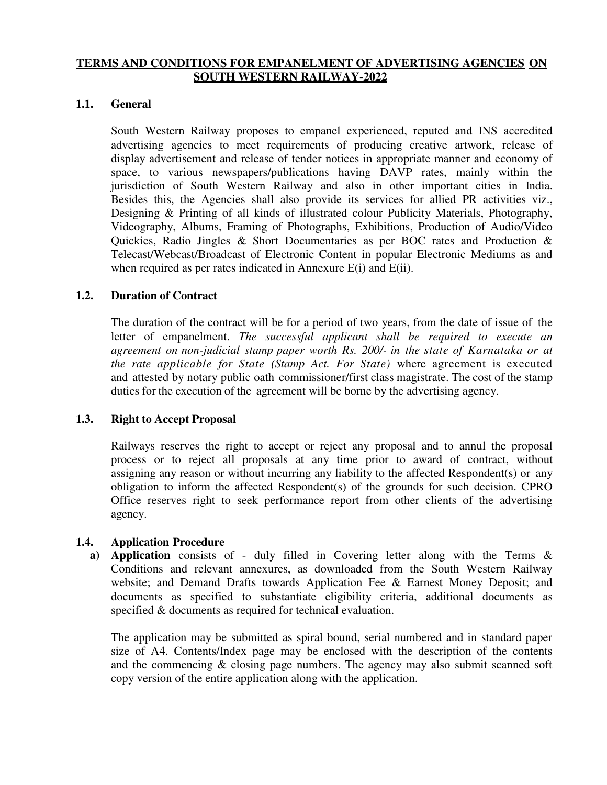## **TERMS AND CONDITIONS FOR EMPANELMENT OF ADVERTISING AGENCIES ON SOUTH WESTERN RAILWAY-2022**

### **1.1. General**

South Western Railway proposes to empanel experienced, reputed and INS accredited advertising agencies to meet requirements of producing creative artwork, release of display advertisement and release of tender notices in appropriate manner and economy of space, to various newspapers/publications having DAVP rates, mainly within the jurisdiction of South Western Railway and also in other important cities in India. Besides this, the Agencies shall also provide its services for allied PR activities viz., Designing & Printing of all kinds of illustrated colour Publicity Materials, Photography, Videography, Albums, Framing of Photographs, Exhibitions, Production of Audio/Video Quickies, Radio Jingles & Short Documentaries as per BOC rates and Production & Telecast/Webcast/Broadcast of Electronic Content in popular Electronic Mediums as and when required as per rates indicated in Annexure E(i) and E(ii).

## **1.2. Duration of Contract**

The duration of the contract will be for a period of two years, from the date of issue of the letter of empanelment. *The successful applicant shall be required to execute an agreement on non-judicial stamp paper worth Rs. 200/- in the state of Karnataka or at the rate applicable for State (Stamp Act. For State)* where agreement is executed and attested by notary public oath commissioner/first class magistrate. The cost of the stamp duties for the execution of the agreement will be borne by the advertising agency.

#### **1.3. Right to Accept Proposal**

Railways reserves the right to accept or reject any proposal and to annul the proposal process or to reject all proposals at any time prior to award of contract, without assigning any reason or without incurring any liability to the affected Respondent(s) or any obligation to inform the affected Respondent(s) of the grounds for such decision. CPRO Office reserves right to seek performance report from other clients of the advertising agency.

#### **1.4. Application Procedure**

**a) Application** consists of - duly filled in Covering letter along with the Terms & Conditions and relevant annexures, as downloaded from the South Western Railway website; and Demand Drafts towards Application Fee & Earnest Money Deposit; and documents as specified to substantiate eligibility criteria, additional documents as specified & documents as required for technical evaluation.

The application may be submitted as spiral bound, serial numbered and in standard paper size of A4. Contents/Index page may be enclosed with the description of the contents and the commencing & closing page numbers. The agency may also submit scanned soft copy version of the entire application along with the application.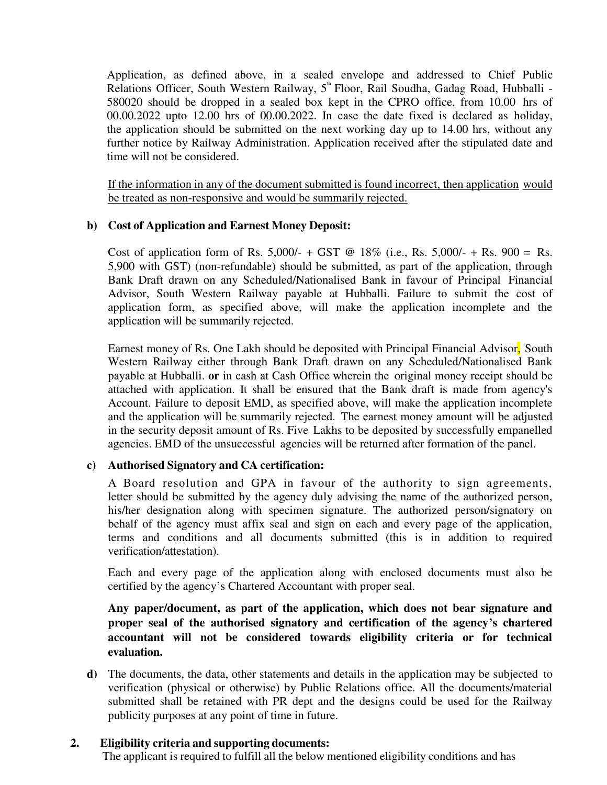Application, as defined above, in a sealed envelope and addressed to Chief Public Relations Officer, South Western Railway,  $5^{\text{th}}$  Floor, Rail Soudha, Gadag Road, Hubballi -580020 should be dropped in a sealed box kept in the CPRO office, from 10.00 hrs of 00.00.2022 upto 12.00 hrs of 00.00.2022. In case the date fixed is declared as holiday, the application should be submitted on the next working day up to 14.00 hrs, without any further notice by Railway Administration. Application received after the stipulated date and time will not be considered.

If the information in any of the document submitted is found incorrect, then application would be treated as non-responsive and would be summarily rejected.

## **b) Cost of Application and Earnest Money Deposit:**

Cost of application form of Rs. 5,000/- + GST @ 18% (i.e., Rs. 5,000/- + Rs. 900 = Rs. 5,900 with GST) (non-refundable) should be submitted, as part of the application, through Bank Draft drawn on any Scheduled/Nationalised Bank in favour of Principal Financial Advisor, South Western Railway payable at Hubballi. Failure to submit the cost of application form, as specified above, will make the application incomplete and the application will be summarily rejected.

Earnest money of Rs. One Lakh should be deposited with Principal Financial Advisor, South Western Railway either through Bank Draft drawn on any Scheduled/Nationalised Bank payable at Hubballi. **or** in cash at Cash Office wherein the original money receipt should be attached with application. It shall be ensured that the Bank draft is made from agency's Account. Failure to deposit EMD, as specified above, will make the application incomplete and the application will be summarily rejected. The earnest money amount will be adjusted in the security deposit amount of Rs. Five Lakhs to be deposited by successfully empanelled agencies. EMD of the unsuccessful agencies will be returned after formation of the panel.

#### **c) Authorised Signatory and CA certification:**

A Board resolution and GPA in favour of the authority to sign agreements, letter should be submitted by the agency duly advising the name of the authorized person, his/her designation along with specimen signature. The authorized person/signatory on behalf of the agency must affix seal and sign on each and every page of the application, terms and conditions and all documents submitted (this is in addition to required verification/attestation).

Each and every page of the application along with enclosed documents must also be certified by the agency's Chartered Accountant with proper seal.

**Any paper/document, as part of the application, which does not bear signature and proper seal of the authorised signatory and certification of the agency's chartered accountant will not be considered towards eligibility criteria or for technical evaluation.** 

**d)** The documents, the data, other statements and details in the application may be subjected to verification (physical or otherwise) by Public Relations office. All the documents/material submitted shall be retained with PR dept and the designs could be used for the Railway publicity purposes at any point of time in future.

#### **2. Eligibility criteria and supporting documents:**

The applicant is required to fulfill all the below mentioned eligibility conditions and has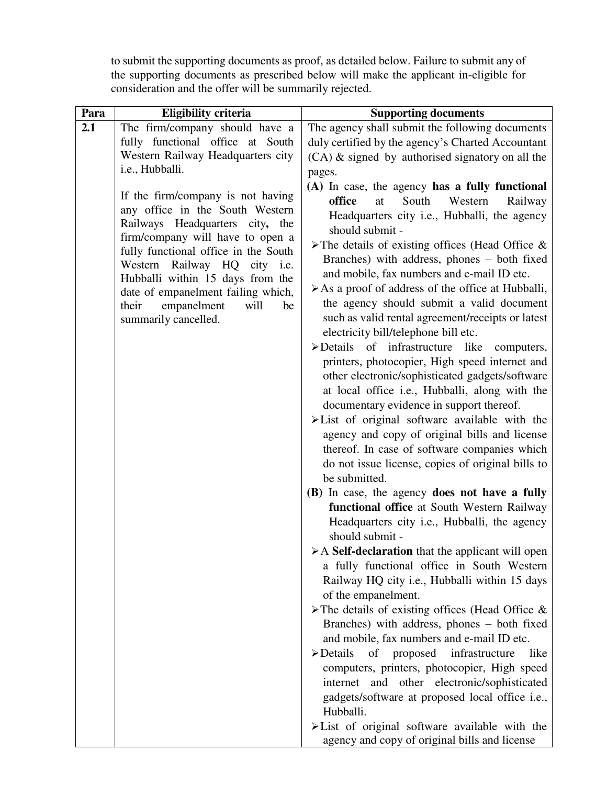to submit the supporting documents as proof, as detailed below. Failure to submit any of the supporting documents as prescribed below will make the applicant in-eligible for consideration and the offer will be summarily rejected.

| Para  | <b>Eligibility criteria</b>                                            | <b>Supporting documents</b>                                          |
|-------|------------------------------------------------------------------------|----------------------------------------------------------------------|
| 2.1   | The firm/company should have a                                         | The agency shall submit the following documents                      |
|       | fully functional office at South                                       | duly certified by the agency's Charted Accountant                    |
|       | Western Railway Headquarters city                                      | $(CA)$ & signed by authorised signatory on all the                   |
|       | i.e., Hubballi.                                                        | pages.                                                               |
|       |                                                                        | (A) In case, the agency has a fully functional                       |
|       | If the firm/company is not having                                      | South<br>Western<br>office<br>at<br>Railway                          |
|       | any office in the South Western                                        | Headquarters city i.e., Hubballi, the agency                         |
|       | Railways Headquarters city, the                                        | should submit -                                                      |
|       | firm/company will have to open a                                       | $\triangleright$ The details of existing offices (Head Office &      |
|       | fully functional office in the South                                   | Branches) with address, phones – both fixed                          |
|       | Western Railway HQ<br>city i.e.                                        | and mobile, fax numbers and e-mail ID etc.                           |
|       | Hubballi within 15 days from the<br>date of empanelment failing which, | $\triangleright$ As a proof of address of the office at Hubballi,    |
|       | empanelment<br>will<br>be                                              | the agency should submit a valid document                            |
| their | summarily cancelled.                                                   | such as valid rental agreement/receipts or latest                    |
|       |                                                                        | electricity bill/telephone bill etc.                                 |
|       |                                                                        | >Details of infrastructure like computers,                           |
|       |                                                                        | printers, photocopier, High speed internet and                       |
|       |                                                                        | other electronic/sophisticated gadgets/software                      |
|       |                                                                        | at local office i.e., Hubballi, along with the                       |
|       |                                                                        | documentary evidence in support thereof.                             |
|       |                                                                        | $\blacktriangleright$ List of original software available with the   |
|       |                                                                        | agency and copy of original bills and license                        |
|       |                                                                        | thereof. In case of software companies which                         |
|       |                                                                        | do not issue license, copies of original bills to                    |
|       |                                                                        | be submitted.                                                        |
|       |                                                                        | (B) In case, the agency does not have a fully                        |
|       |                                                                        | functional office at South Western Railway                           |
|       |                                                                        | Headquarters city <i>i.e.</i> , Hubballi, the agency                 |
|       |                                                                        | should submit -                                                      |
|       |                                                                        | $\triangleright$ A Self-declaration that the applicant will open     |
|       |                                                                        | a fully functional office in South Western                           |
|       |                                                                        | Railway HQ city i.e., Hubballi within 15 days                        |
|       |                                                                        | of the empanelment.                                                  |
|       |                                                                        | $\triangleright$ The details of existing offices (Head Office &      |
|       |                                                                        | Branches) with address, phones – both fixed                          |
|       |                                                                        | and mobile, fax numbers and e-mail ID etc.                           |
|       |                                                                        | $\triangleright$ Details<br>proposed<br>infrastructure<br>of<br>like |
|       |                                                                        | computers, printers, photocopier, High speed                         |
|       |                                                                        | internet and other electronic/sophisticated                          |
|       |                                                                        | gadgets/software at proposed local office i.e.,                      |
|       |                                                                        | Hubballi.                                                            |
|       |                                                                        | $\blacktriangleright$ List of original software available with the   |
|       |                                                                        | agency and copy of original bills and license                        |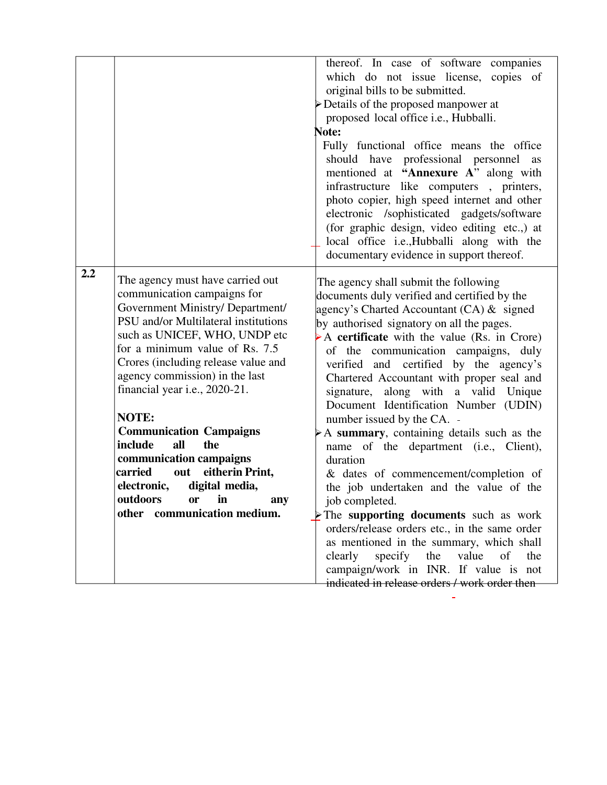|                                                                                                                                                                                                                                                                                                                                                                                                                                                                                                                                                                               | thereof. In case of software companies<br>which do not issue license, copies of<br>original bills to be submitted.<br>> Details of the proposed manpower at<br>proposed local office i.e., Hubballi.<br>Note:<br>Fully functional office means the office<br>should have professional personnel<br>as<br>mentioned at "Annexure A" along with<br>infrastructure like computers, printers,<br>photo copier, high speed internet and other<br>electronic /sophisticated gadgets/software<br>(for graphic design, video editing etc.,) at<br>local office i.e., Hubballi along with the<br>documentary evidence in support thereof.                                                                                                                                                                                                                                                                                                                                                            |
|-------------------------------------------------------------------------------------------------------------------------------------------------------------------------------------------------------------------------------------------------------------------------------------------------------------------------------------------------------------------------------------------------------------------------------------------------------------------------------------------------------------------------------------------------------------------------------|---------------------------------------------------------------------------------------------------------------------------------------------------------------------------------------------------------------------------------------------------------------------------------------------------------------------------------------------------------------------------------------------------------------------------------------------------------------------------------------------------------------------------------------------------------------------------------------------------------------------------------------------------------------------------------------------------------------------------------------------------------------------------------------------------------------------------------------------------------------------------------------------------------------------------------------------------------------------------------------------|
| The agency must have carried out<br>communication campaigns for<br>Government Ministry/ Department/<br>PSU and/or Multilateral institutions<br>such as UNICEF, WHO, UNDP etc<br>for a minimum value of Rs. 7.5<br>Crores (including release value and<br>agency commission) in the last<br>financial year i.e., 2020-21.<br><b>NOTE:</b><br><b>Communication Campaigns</b><br>include<br>all<br>the<br>communication campaigns<br>carried<br>eitherin Print,<br>out<br>digital media,<br>electronic,<br>outdoors<br>in<br>$\mathbf{or}$<br>any<br>other communication medium. | The agency shall submit the following<br>documents duly verified and certified by the<br>agency's Charted Accountant $(CA)$ & signed<br>by authorised signatory on all the pages.<br>A certificate with the value (Rs. in Crore)<br>of the communication campaigns,<br>duly<br>verified and certified by the agency's<br>Chartered Accountant with proper seal and<br>signature, along with a valid Unique<br>Document Identification Number (UDIN)<br>number issued by the CA. -<br>A summary, containing details such as the<br>name of the department (i.e., Client),<br>duration<br>& dates of commencement/completion of<br>the job undertaken and the value of the<br>job completed.<br>$\triangleright$ The supporting documents such as work<br>orders/release orders etc., in the same order<br>as mentioned in the summary, which shall<br>clearly<br>specify the<br>value<br>of<br>the<br>campaign/work in INR. If value is not<br>indicated in release orders / work order then |
|                                                                                                                                                                                                                                                                                                                                                                                                                                                                                                                                                                               |                                                                                                                                                                                                                                                                                                                                                                                                                                                                                                                                                                                                                                                                                                                                                                                                                                                                                                                                                                                             |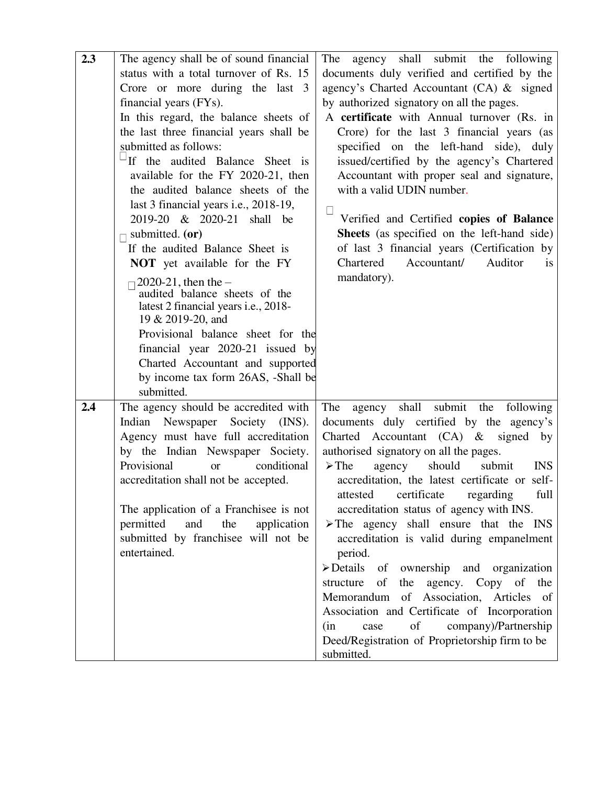| 2.3 | The agency shall be of sound financial                                 | The<br>agency shall submit the following                         |
|-----|------------------------------------------------------------------------|------------------------------------------------------------------|
|     | status with a total turnover of Rs. 15                                 | documents duly verified and certified by the                     |
|     | Crore or more during the last 3                                        | agency's Charted Accountant (CA) & signed                        |
|     | financial years (FYs).                                                 | by authorized signatory on all the pages.                        |
|     | In this regard, the balance sheets of                                  | A certificate with Annual turnover (Rs. in                       |
|     | the last three financial years shall be                                | Crore) for the last 3 financial years (as                        |
|     | submitted as follows:                                                  | specified on the left-hand side), duly                           |
|     | If the audited Balance Sheet is                                        | issued/certified by the agency's Chartered                       |
|     | available for the FY 2020-21, then                                     | Accountant with proper seal and signature,                       |
|     | the audited balance sheets of the                                      | with a valid UDIN number.                                        |
|     | last 3 financial years i.e., 2018-19,                                  |                                                                  |
|     | 2019-20 & 2020-21 shall be                                             | Verified and Certified copies of Balance                         |
|     | submitted. (or)                                                        | <b>Sheets</b> (as specified on the left-hand side)               |
|     | If the audited Balance Sheet is                                        | of last 3 financial years (Certification by                      |
|     | <b>NOT</b> yet available for the FY                                    | Accountant/<br>Auditor<br>Chartered<br>is                        |
|     | 2020-21, then the $-$                                                  | mandatory).                                                      |
|     | audited balance sheets of the                                          |                                                                  |
|     | latest 2 financial years i.e., 2018-                                   |                                                                  |
|     | 19 & 2019-20, and                                                      |                                                                  |
|     | Provisional balance sheet for the                                      |                                                                  |
|     | financial year 2020-21 issued by                                       |                                                                  |
|     | Charted Accountant and supported<br>by income tax form 26AS, -Shall be |                                                                  |
|     | submitted.                                                             |                                                                  |
| 2.4 | The agency should be accredited with                                   | The<br>shall<br>submit<br>the<br>following<br>agency             |
|     | Indian Newspaper Society (INS).                                        | documents duly certified by the agency's                         |
|     | Agency must have full accreditation                                    | Charted Accountant (CA) & signed<br>by                           |
|     | by the Indian Newspaper Society.                                       | authorised signatory on all the pages.                           |
|     | Provisional<br>conditional<br><b>or</b>                                | $\triangleright$ The<br><b>INS</b><br>should<br>submit<br>agency |
|     | accreditation shall not be accepted.                                   | accreditation, the latest certificate or self-                   |
|     |                                                                        | attested certificate regarding<br>full                           |
|     | The application of a Franchisee is not                                 | accreditation status of agency with INS.                         |
|     | permitted<br>and<br>the<br>application                                 | $\triangleright$ The agency shall ensure that the INS            |
|     | submitted by franchisee will not be                                    | accreditation is valid during empanelment                        |
|     | entertained.                                                           | period.                                                          |
|     |                                                                        | $\triangleright$ Details<br>of ownership and organization        |
|     |                                                                        | of<br>structure<br>the agency. Copy of the                       |
|     |                                                                        | Memorandum of Association, Articles of                           |
|     |                                                                        | Association and Certificate of Incorporation                     |
|     |                                                                        | company)/Partnership<br>of<br>(in)<br>case                       |
|     |                                                                        | Deed/Registration of Proprietorship firm to be                   |
|     |                                                                        | submitted.                                                       |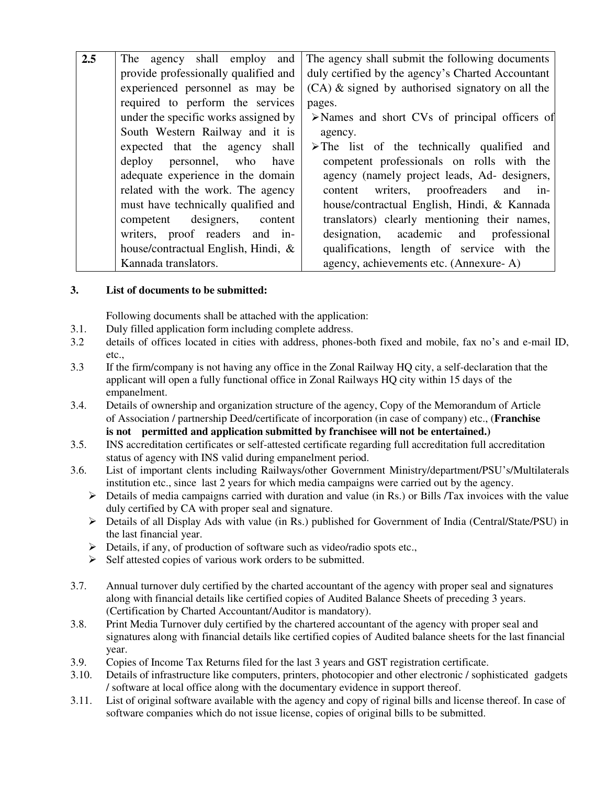| 2.5                                                                                          | The agency shall employ and                                                       | The agency shall submit the following documents               |  |
|----------------------------------------------------------------------------------------------|-----------------------------------------------------------------------------------|---------------------------------------------------------------|--|
|                                                                                              | provide professionally qualified and                                              | duly certified by the agency's Charted Accountant             |  |
|                                                                                              | experienced personnel as may be                                                   | $(CA)$ & signed by authorised signatory on all the            |  |
|                                                                                              | required to perform the services                                                  | pages.                                                        |  |
|                                                                                              | under the specific works assigned by                                              | $\triangleright$ Names and short CVs of principal officers of |  |
|                                                                                              | South Western Railway and it is                                                   | agency.                                                       |  |
| expected that the agency shall<br>$\triangleright$ The list of the technically qualified and |                                                                                   |                                                               |  |
|                                                                                              | deploy personnel, who have                                                        | competent professionals on rolls with the                     |  |
|                                                                                              | adequate experience in the domain                                                 | agency (namely project leads, Ad- designers,                  |  |
|                                                                                              | related with the work. The agency                                                 | content writers, proofreaders and in-                         |  |
|                                                                                              | must have technically qualified and                                               | house/contractual English, Hindi, & Kannada                   |  |
|                                                                                              | competent designers,<br>content                                                   | translators) clearly mentioning their names,                  |  |
|                                                                                              | designation, academic and professional<br>writers, proof readers and in-          |                                                               |  |
|                                                                                              | house/contractual English, Hindi, &<br>qualifications, length of service with the |                                                               |  |
|                                                                                              | Kannada translators.<br>agency, achievements etc. (Annexure-A)                    |                                                               |  |

#### **3. List of documents to be submitted:**

Following documents shall be attached with the application:

- 3.1. Duly filled application form including complete address.
- 3.2 details of offices located in cities with address, phones-both fixed and mobile, fax no's and e-mail ID, etc.,
- 3.3 If the firm/company is not having any office in the Zonal Railway HQ city, a self-declaration that the applicant will open a fully functional office in Zonal Railways HQ city within 15 days of the empanelment.
- 3.4. Details of ownership and organization structure of the agency, Copy of the Memorandum of Article of Association / partnership Deed/certificate of incorporation (in case of company) etc., (**Franchise is not permitted and application submitted by franchisee will not be entertained.)**
- 3.5. INS accreditation certificates or self-attested certificate regarding full accreditation full accreditation status of agency with INS valid during empanelment period.
- 3.6. List of important clents including Railways/other Government Ministry/department/PSU's/Multilaterals institution etc., since last 2 years for which media campaigns were carried out by the agency.
	- $\triangleright$  Details of media campaigns carried with duration and value (in Rs.) or Bills /Tax invoices with the value duly certified by CA with proper seal and signature.
	- $\triangleright$  Details of all Display Ads with value (in Rs.) published for Government of India (Central/State/PSU) in the last financial year.
	- $\triangleright$  Details, if any, of production of software such as video/radio spots etc.,
	- $\triangleright$  Self attested copies of various work orders to be submitted.
- 3.7. Annual turnover duly certified by the charted accountant of the agency with proper seal and signatures along with financial details like certified copies of Audited Balance Sheets of preceding 3 years. (Certification by Charted Accountant/Auditor is mandatory).
- 3.8. Print Media Turnover duly certified by the chartered accountant of the agency with proper seal and signatures along with financial details like certified copies of Audited balance sheets for the last financial year.
- 3.9. Copies of Income Tax Returns filed for the last 3 years and GST registration certificate.
- 3.10. Details of infrastructure like computers, printers, photocopier and other electronic / sophisticated gadgets / software at local office along with the documentary evidence in support thereof.
- 3.11. List of original software available with the agency and copy of riginal bills and license thereof. In case of software companies which do not issue license, copies of original bills to be submitted.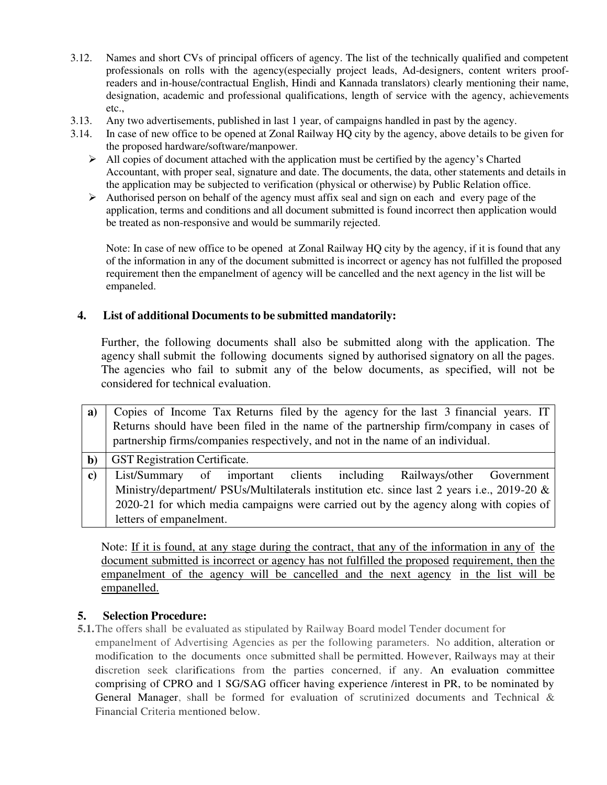- 3.12. Names and short CVs of principal officers of agency. The list of the technically qualified and competent professionals on rolls with the agency(especially project leads, Ad-designers, content writers proof readers and in-house/contractual English, Hindi and Kannada translators) clearly mentioning their name, designation, academic and professional qualifications, length of service with the agency, achievements etc.,
- 3.13. Any two advertisements, published in last 1 year, of campaigns handled in past by the agency.
- 3.14. In case of new office to be opened at Zonal Railway HQ city by the agency, above details to be given for the proposed hardware/software/manpower.
	- $\triangleright$  All copies of document attached with the application must be certified by the agency's Charted Accountant, with proper seal, signature and date. The documents, the data, other statements and details in the application may be subjected to verification (physical or otherwise) by Public Relation office.
	- $\triangleright$  Authorised person on behalf of the agency must affix seal and sign on each and every page of the application, terms and conditions and all document submitted is found incorrect then application would be treated as non-responsive and would be summarily rejected.

Note: In case of new office to be opened at Zonal Railway HQ city by the agency, if it is found that any of the information in any of the document submitted is incorrect or agency has not fulfilled the proposed requirement then the empanelment of agency will be cancelled and the next agency in the list will be empaneled.

## **4. List of additional Documents to be submitted mandatorily:**

Further, the following documents shall also be submitted along with the application. The agency shall submit the following documents signed by authorised signatory on all the pages. The agencies who fail to submit any of the below documents, as specified, will not be considered for technical evaluation.

| a)           | Copies of Income Tax Returns filed by the agency for the last 3 financial years. IT         |  |  |  |  |
|--------------|---------------------------------------------------------------------------------------------|--|--|--|--|
|              | Returns should have been filed in the name of the partnership firm/company in cases of      |  |  |  |  |
|              | partnership firms/companies respectively, and not in the name of an individual.             |  |  |  |  |
| $\mathbf{b}$ | <b>GST</b> Registration Certificate.                                                        |  |  |  |  |
| $\bf c)$     | List/Summary of important clients including Railways/other Government                       |  |  |  |  |
|              | Ministry/department/ PSUs/Multilaterals institution etc. since last 2 years i.e., 2019-20 & |  |  |  |  |
|              | 2020-21 for which media campaigns were carried out by the agency along with copies of       |  |  |  |  |
|              | letters of empanelment.                                                                     |  |  |  |  |

Note: If it is found, at any stage during the contract, that any of the information in any of the document submitted is incorrect or agency has not fulfilled the proposed requirement, then the empanelment of the agency will be cancelled and the next agency in the list will be empanelled.

#### **5. Selection Procedure:**

- **5.1.**The offers shall be evaluated as stipulated by Railway Board model Tender document for
	- empanelment of Advertising Agencies as per the following parameters. No addition, alteration or modification to the documents once submitted shall be permitted. However, Railways may at their discretion seek clarifications from the parties concerned, if any. An evaluation committee comprising of CPRO and 1 SG/SAG officer having experience /interest in PR, to be nominated by General Manager, shall be formed for evaluation of scrutinized documents and Technical & Financial Criteria mentioned below.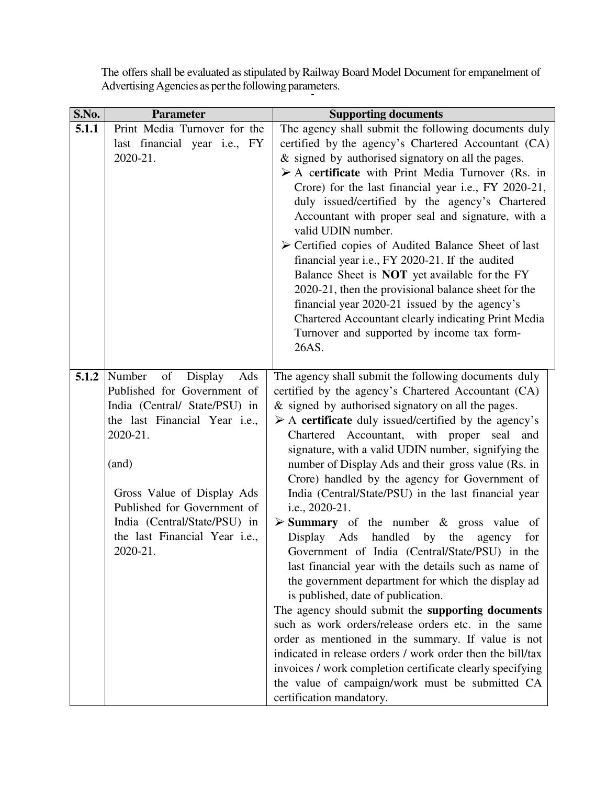| S.No. | <b>Parameter</b>               | <b>Supporting documents</b>                                          |
|-------|--------------------------------|----------------------------------------------------------------------|
| 5.1.1 | Print Media Turnover for the   | The agency shall submit the following documents duly                 |
|       | last financial year i.e., FY   | certified by the agency's Chartered Accountant (CA)                  |
|       | 2020-21.                       | & signed by authorised signatory on all the pages.                   |
|       |                                | $\triangleright$ A certificate with Print Media Turnover (Rs. in     |
|       |                                | Crore) for the last financial year i.e., FY 2020-21,                 |
|       |                                | duly issued/certified by the agency's Chartered                      |
|       |                                | Accountant with proper seal and signature, with a                    |
|       |                                | valid UDIN number.                                                   |
|       |                                | $\triangleright$ Certified copies of Audited Balance Sheet of last   |
|       |                                | financial year i.e., FY 2020-21. If the audited                      |
|       |                                | Balance Sheet is <b>NOT</b> yet available for the FY                 |
|       |                                | 2020-21, then the provisional balance sheet for the                  |
|       |                                | financial year 2020-21 issued by the agency's                        |
|       |                                | Chartered Accountant clearly indicating Print Media                  |
|       |                                | Turnover and supported by income tax form-                           |
|       |                                | 26AS.                                                                |
|       |                                |                                                                      |
| 5.1.2 | Number<br>of<br>Ads<br>Display | The agency shall submit the following documents duly                 |
|       | Published for Government of    | certified by the agency's Chartered Accountant (CA)                  |
|       | India (Central/ State/PSU) in  | & signed by authorised signatory on all the pages.                   |
|       | the last Financial Year i.e.,  | $\triangleright$ A certificate duly issued/certified by the agency's |
|       | 2020-21.                       | Chartered Accountant, with proper seal<br>and                        |
|       |                                | signature, with a valid UDIN number, signifying the                  |
|       | (and)                          | number of Display Ads and their gross value (Rs. in                  |
|       |                                | Crore) handled by the agency for Government of                       |
|       | Gross Value of Display Ads     | India (Central/State/PSU) in the last financial year                 |
|       | Published for Government of    | i.e., 2020-21.                                                       |
|       | India (Central/State/PSU) in   | $\triangleright$ <b>Summary</b> of the number & gross value<br>of    |
|       | the last Financial Year i.e.,  | Display Ads handled by the<br>agency<br>for                          |
|       | 2020-21.                       | Government of India (Central/State/PSU) in the                       |
|       |                                | last financial year with the details such as name of                 |
|       |                                | the government department for which the display ad                   |
|       |                                | is published, date of publication.                                   |
|       |                                | The agency should submit the supporting documents                    |
|       |                                | such as work orders/release orders etc. in the same                  |
|       |                                | order as mentioned in the summary. If value is not                   |
|       |                                | indicated in release orders / work order then the bill/tax           |
|       |                                | invoices / work completion certificate clearly specifying            |
|       |                                | the value of campaign/work must be submitted CA                      |
|       |                                | certification mandatory.                                             |

The offers shall be evaluated as stipulated by Railway Board Model Document for empanelment of Advertising Agencies as per the following parameters.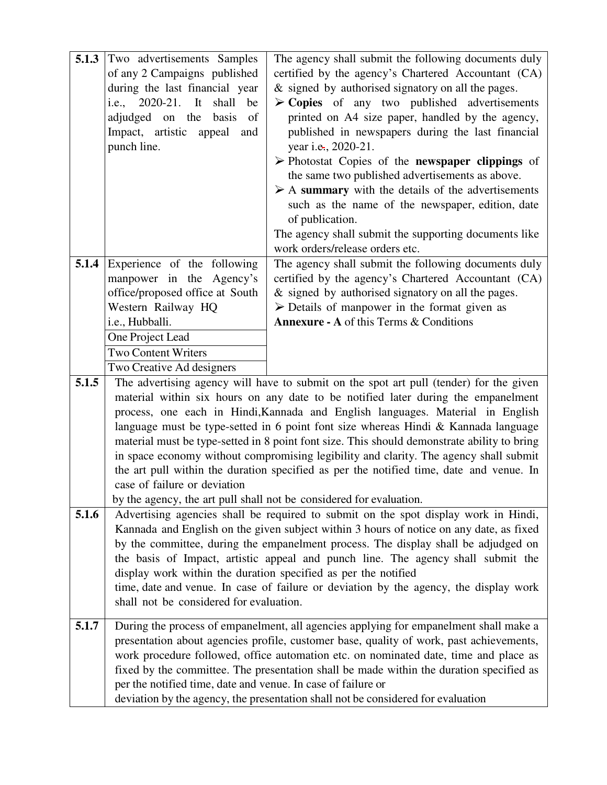| 5.1.3 | Two advertisements Samples                                                        | The agency shall submit the following documents duly                                        |  |
|-------|-----------------------------------------------------------------------------------|---------------------------------------------------------------------------------------------|--|
|       | of any 2 Campaigns published                                                      | certified by the agency's Chartered Accountant (CA)                                         |  |
|       | during the last financial year                                                    | & signed by authorised signatory on all the pages.                                          |  |
|       | i.e., 2020-21. It<br>shall<br>be                                                  | $\triangleright$ Copies of any two published advertisements                                 |  |
|       | adjudged on the basis<br>- of                                                     | printed on A4 size paper, handled by the agency,                                            |  |
|       | Impact, artistic appeal<br>and                                                    | published in newspapers during the last financial                                           |  |
|       | punch line.                                                                       | year i.e., 2020-21.                                                                         |  |
|       |                                                                                   | > Photostat Copies of the newspaper clippings of                                            |  |
|       |                                                                                   | the same two published advertisements as above.                                             |  |
|       |                                                                                   | $\triangleright$ A summary with the details of the advertisements                           |  |
|       |                                                                                   | such as the name of the newspaper, edition, date                                            |  |
|       |                                                                                   |                                                                                             |  |
|       |                                                                                   | of publication.                                                                             |  |
|       |                                                                                   | The agency shall submit the supporting documents like                                       |  |
|       |                                                                                   | work orders/release orders etc.                                                             |  |
| 5.1.4 | Experience of the following                                                       | The agency shall submit the following documents duly                                        |  |
|       | manpower in the Agency's                                                          | certified by the agency's Chartered Accountant (CA)                                         |  |
|       | office/proposed office at South                                                   | & signed by authorised signatory on all the pages.                                          |  |
|       | Western Railway HQ                                                                | $\triangleright$ Details of manpower in the format given as                                 |  |
|       | i.e., Hubballi.                                                                   | <b>Annexure - A</b> of this Terms & Conditions                                              |  |
|       | One Project Lead                                                                  |                                                                                             |  |
|       | <b>Two Content Writers</b>                                                        |                                                                                             |  |
|       | Two Creative Ad designers                                                         |                                                                                             |  |
| 5.1.5 |                                                                                   | The advertising agency will have to submit on the spot art pull (tender) for the given      |  |
|       | material within six hours on any date to be notified later during the empanelment |                                                                                             |  |
|       | process, one each in Hindi, Kannada and English languages. Material in English    |                                                                                             |  |
|       |                                                                                   | language must be type-setted in 6 point font size whereas Hindi & Kannada language          |  |
|       |                                                                                   | material must be type-setted in 8 point font size. This should demonstrate ability to bring |  |
|       |                                                                                   | in space economy without compromising legibility and clarity. The agency shall submit       |  |
|       |                                                                                   | the art pull within the duration specified as per the notified time, date and venue. In     |  |
|       | case of failure or deviation                                                      |                                                                                             |  |
|       |                                                                                   | by the agency, the art pull shall not be considered for evaluation.                         |  |
| 5.1.6 |                                                                                   | Advertising agencies shall be required to submit on the spot display work in Hindi,         |  |
|       |                                                                                   | Kannada and English on the given subject within 3 hours of notice on any date, as fixed     |  |
|       |                                                                                   | by the committee, during the empanelment process. The display shall be adjudged on          |  |
|       |                                                                                   | the basis of Impact, artistic appeal and punch line. The agency shall submit the            |  |
|       | display work within the duration specified as per the notified                    |                                                                                             |  |
|       |                                                                                   | time, date and venue. In case of failure or deviation by the agency, the display work       |  |
|       | shall not be considered for evaluation.                                           |                                                                                             |  |
|       |                                                                                   |                                                                                             |  |
| 5.1.7 |                                                                                   | During the process of empanelment, all agencies applying for empanelment shall make a       |  |
|       |                                                                                   | presentation about agencies profile, customer base, quality of work, past achievements,     |  |
|       |                                                                                   | work procedure followed, office automation etc. on nominated date, time and place as        |  |
|       |                                                                                   | fixed by the committee. The presentation shall be made within the duration specified as     |  |
|       | per the notified time, date and venue. In case of failure or                      |                                                                                             |  |
|       |                                                                                   | deviation by the agency, the presentation shall not be considered for evaluation            |  |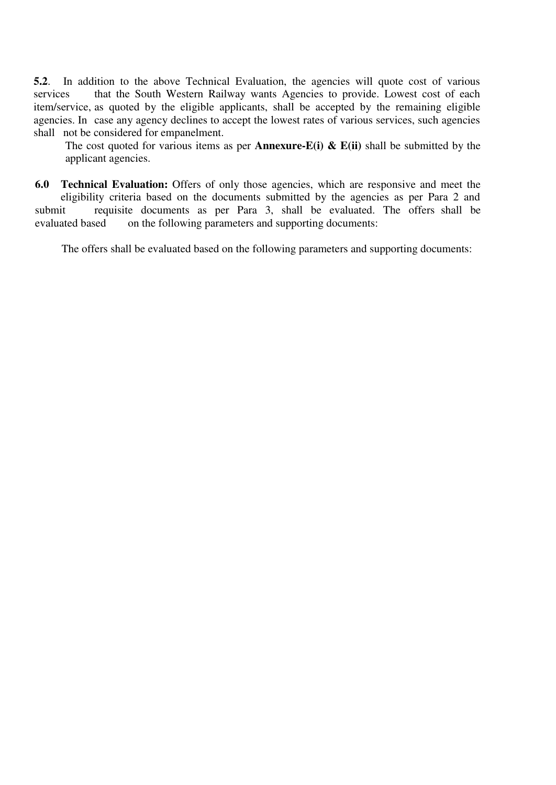**5.2**. In addition to the above Technical Evaluation, the agencies will quote cost of various services that the South Western Railway wants Agencies to provide. Lowest cost of each item/service, as quoted by the eligible applicants, shall be accepted by the remaining eligible agencies. In case any agency declines to accept the lowest rates of various services, such agencies shall not be considered for empanelment.

The cost quoted for various items as per **Annexure-E(i) & E(ii)** shall be submitted by the applicant agencies.

**6.0 Technical Evaluation:** Offers of only those agencies, which are responsive and meet the eligibility criteria based on the documents submitted by the agencies as per Para 2 and submit requisite documents as per Para 3, shall be evaluated. The offers shall be evaluated based on the following parameters and supporting documents:

The offers shall be evaluated based on the following parameters and supporting documents: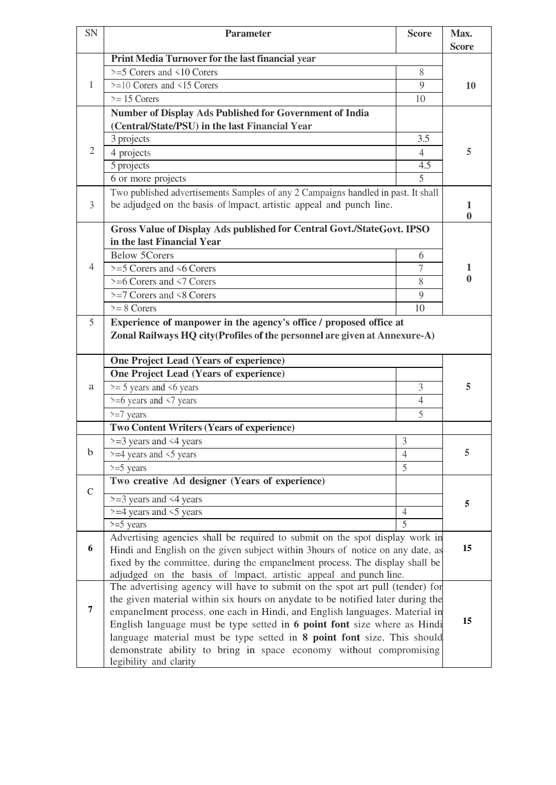| SN                                                                                                                                                                             | <b>Parameter</b>                                                                                                                                                                                                          | <b>Score</b>   | Max.              |
|--------------------------------------------------------------------------------------------------------------------------------------------------------------------------------|---------------------------------------------------------------------------------------------------------------------------------------------------------------------------------------------------------------------------|----------------|-------------------|
|                                                                                                                                                                                |                                                                                                                                                                                                                           |                | <b>Score</b>      |
|                                                                                                                                                                                | Print Media Turnover for the last financial year                                                                                                                                                                          |                |                   |
|                                                                                                                                                                                | $>=$ 5 Corers and $\le$ 10 Corers                                                                                                                                                                                         | 8              |                   |
| 1                                                                                                                                                                              | $\geq$ =10 Corers and <15 Corers                                                                                                                                                                                          | 9              | 10                |
|                                                                                                                                                                                | $\geq$ 15 Corers                                                                                                                                                                                                          | 10             |                   |
|                                                                                                                                                                                | <b>Number of Display Ads Published for Government of India</b>                                                                                                                                                            |                |                   |
|                                                                                                                                                                                | (Central/State/PSU) in the last Financial Year                                                                                                                                                                            |                |                   |
|                                                                                                                                                                                | 3 projects                                                                                                                                                                                                                | 3.5            |                   |
| $\overline{2}$                                                                                                                                                                 | 4 projects                                                                                                                                                                                                                | $\overline{4}$ | 5                 |
|                                                                                                                                                                                | 5 projects                                                                                                                                                                                                                | 4.5            |                   |
|                                                                                                                                                                                | 6 or more projects                                                                                                                                                                                                        | 5              |                   |
|                                                                                                                                                                                | Two published advertisements Samples of any 2 Campaigns handled in past. It shall                                                                                                                                         |                |                   |
| 3                                                                                                                                                                              | be adjudged on the basis of Impact, artistic appeal and punch line.                                                                                                                                                       |                | 1                 |
|                                                                                                                                                                                |                                                                                                                                                                                                                           |                | $\bf{0}$          |
|                                                                                                                                                                                | Gross Value of Display Ads published for Central Govt./StateGovt. IPSO                                                                                                                                                    |                |                   |
|                                                                                                                                                                                | in the last Financial Year                                                                                                                                                                                                |                |                   |
|                                                                                                                                                                                | <b>Below 5Corers</b>                                                                                                                                                                                                      | 6              |                   |
| 4                                                                                                                                                                              | $>=$ 5 Corers and $\leq 6$ Corers                                                                                                                                                                                         | 7              | 1<br>$\mathbf{0}$ |
|                                                                                                                                                                                | $>= 6$ Corers and $\leq 7$ Corers                                                                                                                                                                                         | 8              |                   |
|                                                                                                                                                                                | $\geq$ =7 Corers and <8 Corers                                                                                                                                                                                            | 9              |                   |
|                                                                                                                                                                                | $>= 8$ Corers                                                                                                                                                                                                             | 10             |                   |
| 5                                                                                                                                                                              | Experience of manpower in the agency's office / proposed office at                                                                                                                                                        |                |                   |
|                                                                                                                                                                                | Zonal Railways HQ city (Profiles of the personnel are given at Annexure-A)                                                                                                                                                |                |                   |
|                                                                                                                                                                                | One Project Lead (Years of experience)                                                                                                                                                                                    |                |                   |
|                                                                                                                                                                                | <b>One Project Lead (Years of experience)</b>                                                                                                                                                                             |                |                   |
|                                                                                                                                                                                |                                                                                                                                                                                                                           |                |                   |
| a                                                                                                                                                                              | $\ge$ = 5 years and <6 years                                                                                                                                                                                              | 3              | 5                 |
|                                                                                                                                                                                | $>= 6$ years and $\leq 7$ years                                                                                                                                                                                           | $\overline{4}$ |                   |
|                                                                                                                                                                                | $>=7$ years                                                                                                                                                                                                               | 5              |                   |
|                                                                                                                                                                                | <b>Two Content Writers (Years of experience)</b>                                                                                                                                                                          |                |                   |
| $\mathbf b$                                                                                                                                                                    | $>=$ 3 years and $\leq$ 4 years                                                                                                                                                                                           | 3              | 5                 |
|                                                                                                                                                                                | $>=$ 4 years and $\le$ 5 years                                                                                                                                                                                            | 4              |                   |
|                                                                                                                                                                                | $>=5$ years                                                                                                                                                                                                               | 5              |                   |
| $\mathsf{C}$                                                                                                                                                                   | Two creative Ad designer (Years of experience)                                                                                                                                                                            |                |                   |
|                                                                                                                                                                                | $>=$ 3 years and $\leq$ 4 years                                                                                                                                                                                           |                | 5                 |
|                                                                                                                                                                                | $>=$ 4 years and $\le$ 5 years                                                                                                                                                                                            | $\overline{4}$ |                   |
|                                                                                                                                                                                | $>=5$ years                                                                                                                                                                                                               | 5              |                   |
|                                                                                                                                                                                | Advertising agencies shall be required to submit on the spot display work in                                                                                                                                              |                |                   |
|                                                                                                                                                                                | 6<br>Hindi and English on the given subject within 3 hours of notice on any date, as                                                                                                                                      |                | 15                |
|                                                                                                                                                                                | fixed by the committee, during the empanelment process. The display shall be                                                                                                                                              |                |                   |
|                                                                                                                                                                                | adjudged on the basis of Impact, artistic appeal and punch line.                                                                                                                                                          |                |                   |
|                                                                                                                                                                                | The advertising agency will have to submit on the spot art pull (tender) for                                                                                                                                              |                |                   |
| the given material within six hours on anydate to be notified later during the<br>$\overline{7}$<br>empanelment process, one each in Hindi, and English languages. Material in |                                                                                                                                                                                                                           |                |                   |
|                                                                                                                                                                                |                                                                                                                                                                                                                           |                | 15                |
|                                                                                                                                                                                | English language must be type setted in 6 point font size where as Hindi<br>language material must be type setted in 8 point font size. This should<br>demonstrate ability to bring in space economy without compromising |                |                   |
|                                                                                                                                                                                |                                                                                                                                                                                                                           |                |                   |
|                                                                                                                                                                                | legibility and clarity                                                                                                                                                                                                    |                |                   |
|                                                                                                                                                                                |                                                                                                                                                                                                                           |                |                   |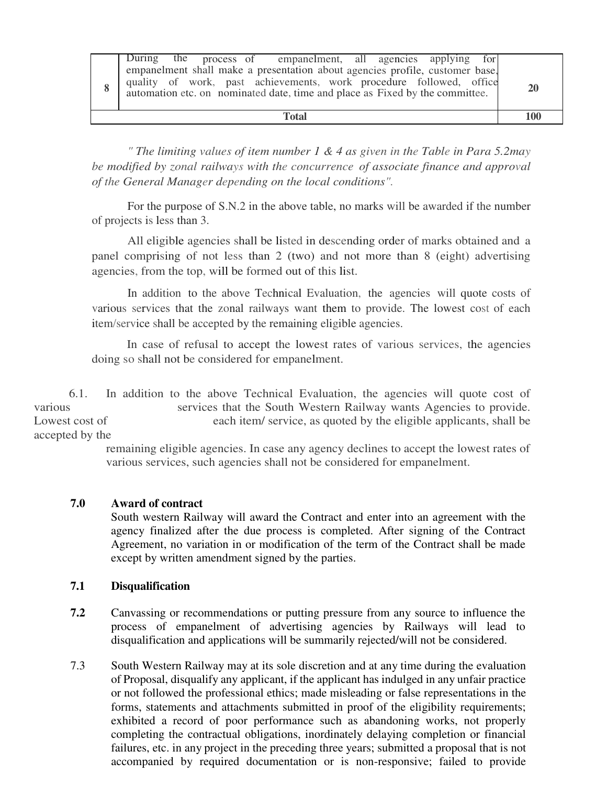#### **Total 100**

*" The limiting values of item number 1 & 4 as given in the Table in Para 5.2may be modified by zonal railways with the concurrence of associate finance and approval of the General Manager depending on the local conditions".*

For the purpose of S.N.2 in the above table, no marks will be awarded if the number of projects is less than 3.

All eligible agencies shall be listed in descending order of marks obtained and a panel comprising of not less than 2 (two) and not more than 8 (eight) advertising agencies, from the top, will be formed out of this list.

In addition to the above Technical Evaluation, the agencies will quote costs of various services that the zonal railways want them to provide. The lowest cost of each item/service shall be accepted by the remaining eligible agencies.

In case of refusal to accept the lowest rates of various services, the agencies doing so shall not be considered for empanelment.

6.1. In addition to the above Technical Evaluation, the agencies will quote cost of various services that the South Western Railway wants Agencies to provide. Lowest cost of each item/ service, as quoted by the eligible applicants, shall be accepted by the

> remaining eligible agencies. In case any agency declines to accept the lowest rates of various services, such agencies shall not be considered for empanelment.

## **7.0 Award of contract**

South western Railway will award the Contract and enter into an agreement with the agency finalized after the due process is completed. After signing of the Contract Agreement, no variation in or modification of the term of the Contract shall be made except by written amendment signed by the parties.

## **7.1 Disqualification**

- **7.2** Canvassing or recommendations or putting pressure from any source to influence the process of empanelment of advertising agencies by Railways will lead to disqualification and applications will be summarily rejected/will not be considered.
- 7.3 South Western Railway may at its sole discretion and at any time during the evaluation of Proposal, disqualify any applicant, if the applicant has indulged in any unfair practice or not followed the professional ethics; made misleading or false representations in the forms, statements and attachments submitted in proof of the eligibility requirements; exhibited a record of poor performance such as abandoning works, not properly completing the contractual obligations, inordinately delaying completion or financial failures, etc. in any project in the preceding three years; submitted a proposal that is not accompanied by required documentation or is non-responsive; failed to provide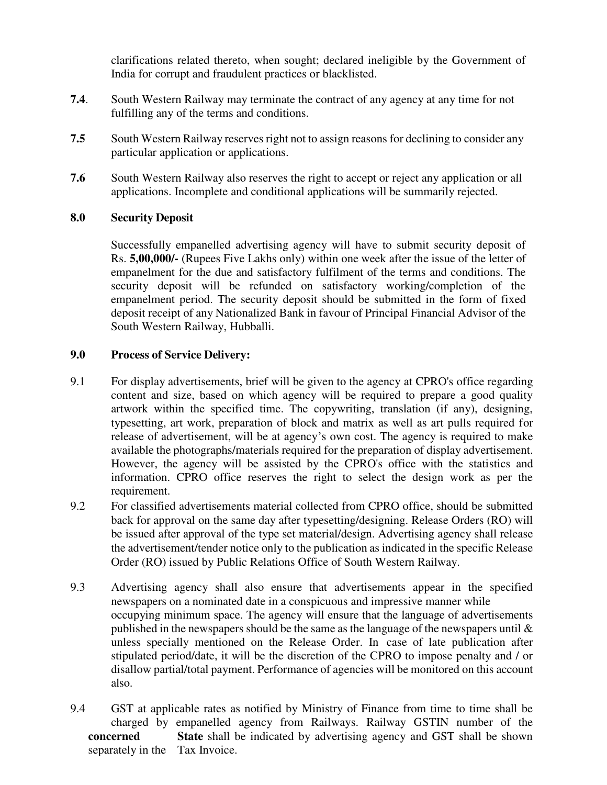clarifications related thereto, when sought; declared ineligible by the Government of India for corrupt and fraudulent practices or blacklisted.

- **7.4**. South Western Railway may terminate the contract of any agency at any time for not fulfilling any of the terms and conditions.
- **7.5** South Western Railway reserves right not to assign reasons for declining to consider any particular application or applications.
- **7.6** South Western Railway also reserves the right to accept or reject any application or all applications. Incomplete and conditional applications will be summarily rejected.

## **8.0 Security Deposit**

Successfully empanelled advertising agency will have to submit security deposit of Rs. **5,00,000/-** (Rupees Five Lakhs only) within one week after the issue of the letter of empanelment for the due and satisfactory fulfilment of the terms and conditions. The security deposit will be refunded on satisfactory working/completion of the empanelment period. The security deposit should be submitted in the form of fixed deposit receipt of any Nationalized Bank in favour of Principal Financial Advisor of the South Western Railway, Hubballi.

## **9.0 Process of Service Delivery:**

- 9.1 For display advertisements, brief will be given to the agency at CPRO's office regarding content and size, based on which agency will be required to prepare a good quality artwork within the specified time. The copywriting, translation (if any), designing, typesetting, art work, preparation of block and matrix as well as art pulls required for release of advertisement, will be at agency's own cost. The agency is required to make available the photographs/materials required for the preparation of display advertisement. However, the agency will be assisted by the CPRO's office with the statistics and information. CPRO office reserves the right to select the design work as per the requirement.
- 9.2 For classified advertisements material collected from CPRO office, should be submitted back for approval on the same day after typesetting/designing. Release Orders (RO) will be issued after approval of the type set material/design. Advertising agency shall release the advertisement/tender notice only to the publication as indicated in the specific Release Order (RO) issued by Public Relations Office of South Western Railway.
- 9.3 Advertising agency shall also ensure that advertisements appear in the specified newspapers on a nominated date in a conspicuous and impressive manner while occupying minimum space. The agency will ensure that the language of advertisements published in the newspapers should be the same as the language of the newspapers until  $\&$  unless specially mentioned on the Release Order. In case of late publication after stipulated period/date, it will be the discretion of the CPRO to impose penalty and / or disallow partial/total payment. Performance of agencies will be monitored on this account also.
- 9.4 GST at applicable rates as notified by Ministry of Finance from time to time shall be charged by empanelled agency from Railways. Railway GSTIN number of the **concerned** State shall be indicated by advertising agency and GST shall be shown separately in the Tax Invoice.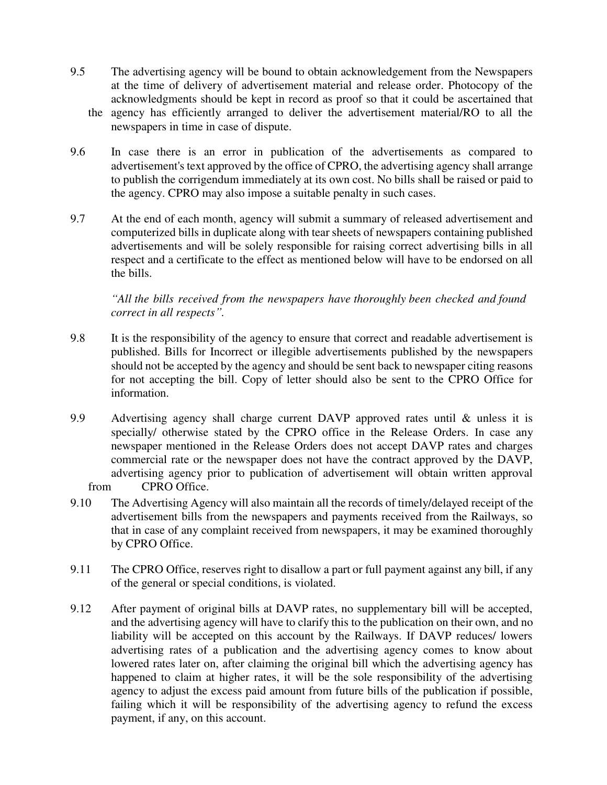- 9.5 The advertising agency will be bound to obtain acknowledgement from the Newspapers at the time of delivery of advertisement material and release order. Photocopy of the acknowledgments should be kept in record as proof so that it could be ascertained that the agency has efficiently arranged to deliver the advertisement material/RO to all the newspapers in time in case of dispute.
- 9.6 In case there is an error in publication of the advertisements as compared to advertisement's text approved by the office of CPRO, the advertising agency shall arrange to publish the corrigendum immediately at its own cost. No bills shall be raised or paid to the agency. CPRO may also impose a suitable penalty in such cases.
- 9.7 At the end of each month, agency will submit a summary of released advertisement and computerized bills in duplicate along with tear sheets of newspapers containing published advertisements and will be solely responsible for raising correct advertising bills in all respect and a certificate to the effect as mentioned below will have to be endorsed on all the bills.

*"All the bills received from the newspapers have thoroughly been checked and found correct in all respects".* 

- 9.8 It is the responsibility of the agency to ensure that correct and readable advertisement is published. Bills for Incorrect or illegible advertisements published by the newspapers should not be accepted by the agency and should be sent back to newspaper citing reasons for not accepting the bill. Copy of letter should also be sent to the CPRO Office for information.
- 9.9 Advertising agency shall charge current DAVP approved rates until & unless it is specially/ otherwise stated by the CPRO office in the Release Orders. In case any newspaper mentioned in the Release Orders does not accept DAVP rates and charges commercial rate or the newspaper does not have the contract approved by the DAVP, advertising agency prior to publication of advertisement will obtain written approval from CPRO Office.
- 9.10 The Advertising Agency will also maintain all the records of timely/delayed receipt of the advertisement bills from the newspapers and payments received from the Railways, so that in case of any complaint received from newspapers, it may be examined thoroughly by CPRO Office.
- 9.11 The CPRO Office, reserves right to disallow a part or full payment against any bill, if any of the general or special conditions, is violated.
- 9.12 After payment of original bills at DAVP rates, no supplementary bill will be accepted, and the advertising agency will have to clarify this to the publication on their own, and no liability will be accepted on this account by the Railways. If DAVP reduces/ lowers advertising rates of a publication and the advertising agency comes to know about lowered rates later on, after claiming the original bill which the advertising agency has happened to claim at higher rates, it will be the sole responsibility of the advertising agency to adjust the excess paid amount from future bills of the publication if possible, failing which it will be responsibility of the advertising agency to refund the excess payment, if any, on this account.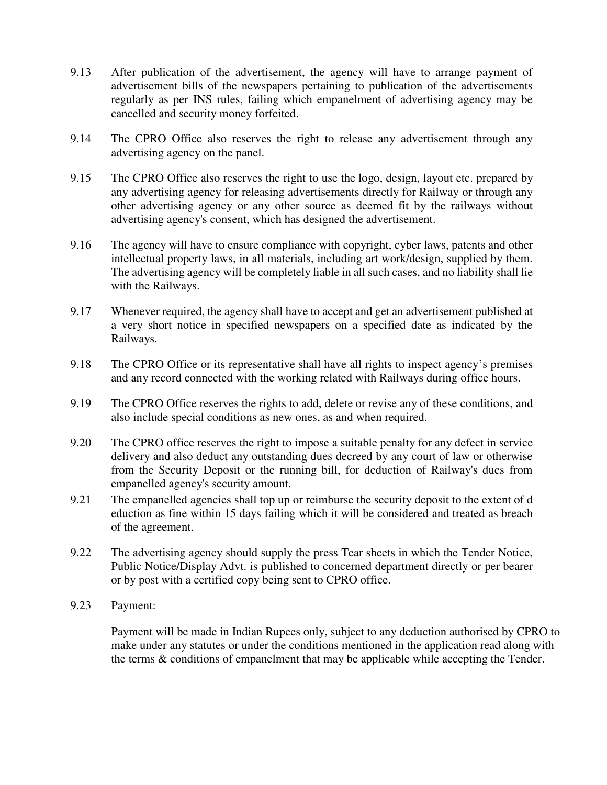- 9.13 After publication of the advertisement, the agency will have to arrange payment of advertisement bills of the newspapers pertaining to publication of the advertisements regularly as per INS rules, failing which empanelment of advertising agency may be cancelled and security money forfeited.
- 9.14 The CPRO Office also reserves the right to release any advertisement through any advertising agency on the panel.
- 9.15 The CPRO Office also reserves the right to use the logo, design, layout etc. prepared by any advertising agency for releasing advertisements directly for Railway or through any other advertising agency or any other source as deemed fit by the railways without advertising agency's consent, which has designed the advertisement.
- 9.16 The agency will have to ensure compliance with copyright, cyber laws, patents and other intellectual property laws, in all materials, including art work/design, supplied by them. The advertising agency will be completely liable in all such cases, and no liability shall lie with the Railways.
- 9.17 Whenever required, the agency shall have to accept and get an advertisement published at a very short notice in specified newspapers on a specified date as indicated by the Railways.
- 9.18 The CPRO Office or its representative shall have all rights to inspect agency's premises and any record connected with the working related with Railways during office hours.
- 9.19 The CPRO Office reserves the rights to add, delete or revise any of these conditions, and also include special conditions as new ones, as and when required.
- 9.20 The CPRO office reserves the right to impose a suitable penalty for any defect in service delivery and also deduct any outstanding dues decreed by any court of law or otherwise from the Security Deposit or the running bill, for deduction of Railway's dues from empanelled agency's security amount.
- 9.21 The empanelled agencies shall top up or reimburse the security deposit to the extent of d eduction as fine within 15 days failing which it will be considered and treated as breach of the agreement.
- 9.22 The advertising agency should supply the press Tear sheets in which the Tender Notice, Public Notice/Display Advt. is published to concerned department directly or per bearer or by post with a certified copy being sent to CPRO office.
- 9.23 Payment:

Payment will be made in Indian Rupees only, subject to any deduction authorised by CPRO to make under any statutes or under the conditions mentioned in the application read along with the terms & conditions of empanelment that may be applicable while accepting the Tender.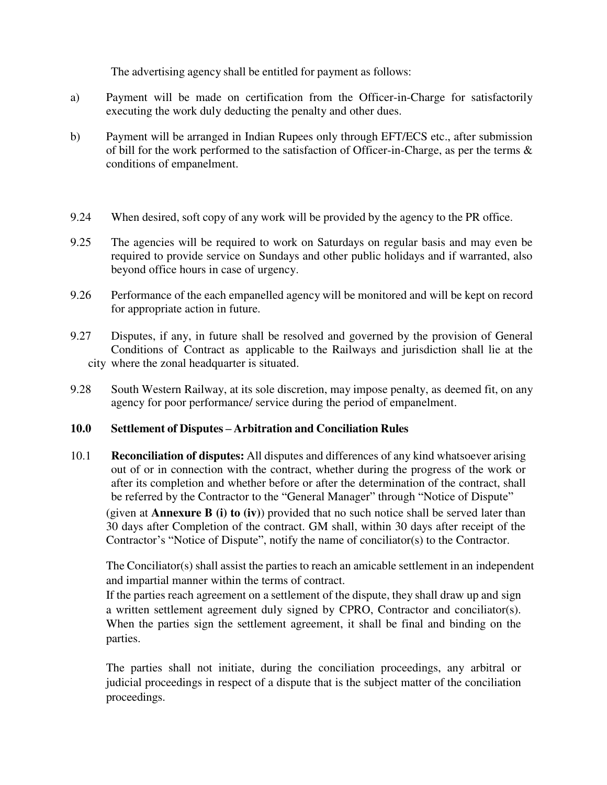The advertising agency shall be entitled for payment as follows:

- a) Payment will be made on certification from the Officer-in-Charge for satisfactorily executing the work duly deducting the penalty and other dues.
- b) Payment will be arranged in Indian Rupees only through EFT/ECS etc., after submission of bill for the work performed to the satisfaction of Officer-in-Charge, as per the terms & conditions of empanelment.
- 9.24 When desired, soft copy of any work will be provided by the agency to the PR office.
- 9.25 The agencies will be required to work on Saturdays on regular basis and may even be required to provide service on Sundays and other public holidays and if warranted, also beyond office hours in case of urgency.
- 9.26 Performance of the each empanelled agency will be monitored and will be kept on record for appropriate action in future.
- 9.27 Disputes, if any, in future shall be resolved and governed by the provision of General Conditions of Contract as applicable to the Railways and jurisdiction shall lie at the city where the zonal headquarter is situated.
- 9.28 South Western Railway, at its sole discretion, may impose penalty, as deemed fit, on any agency for poor performance/ service during the period of empanelment.

#### **10.0 Settlement of Disputes – Arbitration and Conciliation Rules**

10.1 **Reconciliation of disputes:** All disputes and differences of any kind whatsoever arising out of or in connection with the contract, whether during the progress of the work or after its completion and whether before or after the determination of the contract, shall be referred by the Contractor to the "General Manager" through "Notice of Dispute"

 (given at **Annexure B (i) to (iv)**) provided that no such notice shall be served later than 30 days after Completion of the contract. GM shall, within 30 days after receipt of the Contractor's "Notice of Dispute", notify the name of conciliator(s) to the Contractor.

 The Conciliator(s) shall assist the parties to reach an amicable settlement in an independent and impartial manner within the terms of contract.

If the parties reach agreement on a settlement of the dispute, they shall draw up and sign a written settlement agreement duly signed by CPRO, Contractor and conciliator(s). When the parties sign the settlement agreement, it shall be final and binding on the parties.

 The parties shall not initiate, during the conciliation proceedings, any arbitral or judicial proceedings in respect of a dispute that is the subject matter of the conciliation proceedings.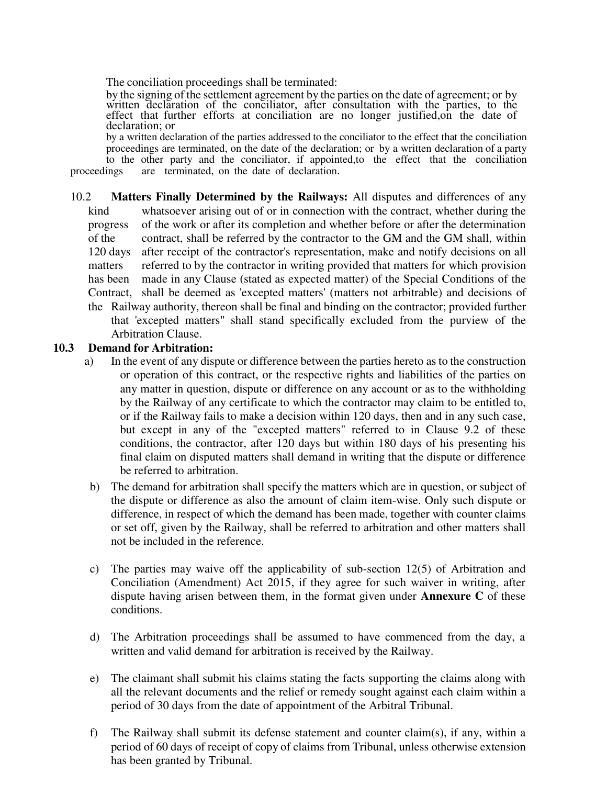The conciliation proceedings shall be terminated:

 by the signing of the settlement agreement by the parties on the date of agreement; or by written declaration of the conciliator, after consultation with the parties, to the effect that further efforts at conciliation are no longer justified,on the date of declaration; or

by a written declaration of the parties addressed to the conciliator to the effect that the conciliation proceedings are terminated, on the date of the declaration; or by a written declaration of a party to the other party and the conciliator, if appointed, to the effect that the conciliation proceedings are terminated, on the date of declaration. are terminated, on the date of declaration.

10.2 **Matters Finally Determined by the Railways:** All disputes and differences of any kind whatsoever arising out of or in connection with the contract, whether during the progress of the work or after its completion and whether before or after the determination of the contract, shall be referred by the contractor to the GM and the GM shall, within 120 days after receipt of the contractor's representation, make and notify decisions on all matters referred to by the contractor in writing provided that matters for which provision has been made in any Clause (stated as expected matter) of the Special Conditions of the Contract, shall be deemed as 'excepted matters' (matters not arbitrable) and decisions of the Railway authority, thereon shall be final and binding on the contractor; provided further that 'excepted matters" shall stand specifically excluded from the purview of the Arbitration Clause.

#### **10.3 Demand for Arbitration:**

- a) In the event of any dispute or difference between the parties hereto as to the construction or operation of this contract, or the respective rights and liabilities of the parties on any matter in question, dispute or difference on any account or as to the withholding by the Railway of any certificate to which the contractor may claim to be entitled to, or if the Railway fails to make a decision within 120 days, then and in any such case, but except in any of the "excepted matters" referred to in Clause 9.2 of these conditions, the contractor, after 120 days but within 180 days of his presenting his final claim on disputed matters shall demand in writing that the dispute or difference be referred to arbitration.
- b) The demand for arbitration shall specify the matters which are in question, or subject of the dispute or difference as also the amount of claim item-wise. Only such dispute or difference, in respect of which the demand has been made, together with counter claims or set off, given by the Railway, shall be referred to arbitration and other matters shall not be included in the reference.
- c) The parties may waive off the applicability of sub-section 12(5) of Arbitration and Conciliation (Amendment) Act 2015, if they agree for such waiver in writing, after dispute having arisen between them, in the format given under **Annexure C** of these conditions.
- d) The Arbitration proceedings shall be assumed to have commenced from the day, a written and valid demand for arbitration is received by the Railway.
- e) The claimant shall submit his claims stating the facts supporting the claims along with all the relevant documents and the relief or remedy sought against each claim within a period of 30 days from the date of appointment of the Arbitral Tribunal.
- f) The Railway shall submit its defense statement and counter claim(s), if any, within a period of 60 days of receipt of copy of claims from Tribunal, unless otherwise extension has been granted by Tribunal.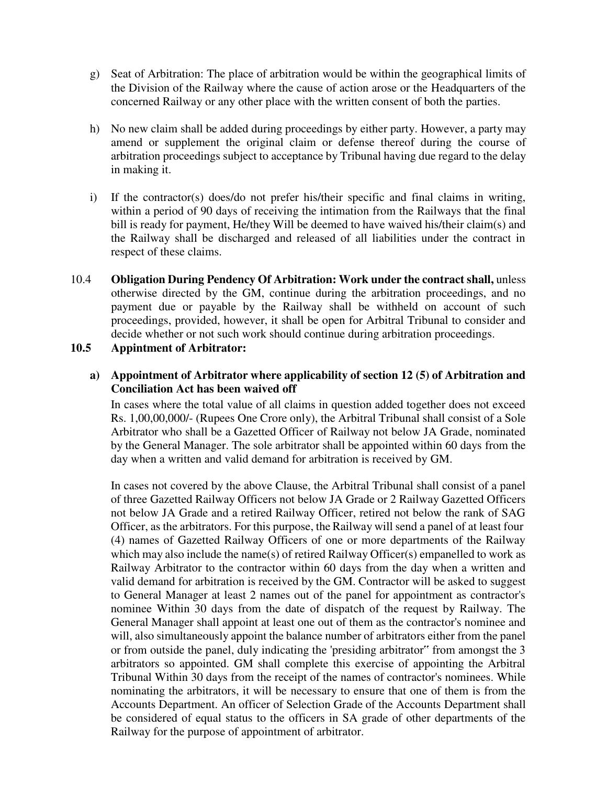- g) Seat of Arbitration: The place of arbitration would be within the geographical limits of the Division of the Railway where the cause of action arose or the Headquarters of the concerned Railway or any other place with the written consent of both the parties.
- h) No new claim shall be added during proceedings by either party. However, a party may amend or supplement the original claim or defense thereof during the course of arbitration proceedings subject to acceptance by Tribunal having due regard to the delay in making it.
- i) If the contractor(s) does/do not prefer his/their specific and final claims in writing, within a period of 90 days of receiving the intimation from the Railways that the final bill is ready for payment, He/they Will be deemed to have waived his/their claim(s) and the Railway shall be discharged and released of all liabilities under the contract in respect of these claims.
- 10.4 **Obligation During Pendency Of Arbitration: Work under the contract shall,** unless otherwise directed by the GM, continue during the arbitration proceedings, and no payment due or payable by the Railway shall be withheld on account of such proceedings, provided, however, it shall be open for Arbitral Tribunal to consider and decide whether or not such work should continue during arbitration proceedings.

#### **10.5 Appintment of Arbitrator:**

### **a) Appointment of Arbitrator where applicability of section 12 (5) of Arbitration and Conciliation Act has been waived off**

In cases where the total value of all claims in question added together does not exceed Rs. 1,00,00,000/- (Rupees One Crore only), the Arbitral Tribunal shall consist of a Sole Arbitrator who shall be a Gazetted Officer of Railway not below JA Grade, nominated by the General Manager. The sole arbitrator shall be appointed within 60 days from the day when a written and valid demand for arbitration is received by GM.

In cases not covered by the above Clause, the Arbitral Tribunal shall consist of a panel of three Gazetted Railway Officers not below JA Grade or 2 Railway Gazetted Officers not below JA Grade and a retired Railway Officer, retired not below the rank of SAG Officer, as the arbitrators. For this purpose, the Railway will send a panel of at least four (4) names of Gazetted Railway Officers of one or more departments of the Railway which may also include the name(s) of retired Railway Officer(s) empanelled to work as Railway Arbitrator to the contractor within 60 days from the day when a written and valid demand for arbitration is received by the GM. Contractor will be asked to suggest to General Manager at least 2 names out of the panel for appointment as contractor's nominee Within 30 days from the date of dispatch of the request by Railway. The General Manager shall appoint at least one out of them as the contractor's nominee and will, also simultaneously appoint the balance number of arbitrators either from the panel or from outside the panel, duly indicating the 'presiding arbitrator" from amongst the 3 arbitrators so appointed. GM shall complete this exercise of appointing the Arbitral Tribunal Within 30 days from the receipt of the names of contractor's nominees. While nominating the arbitrators, it will be necessary to ensure that one of them is from the Accounts Department. An officer of Selection Grade of the Accounts Department shall be considered of equal status to the officers in SA grade of other departments of the Railway for the purpose of appointment of arbitrator.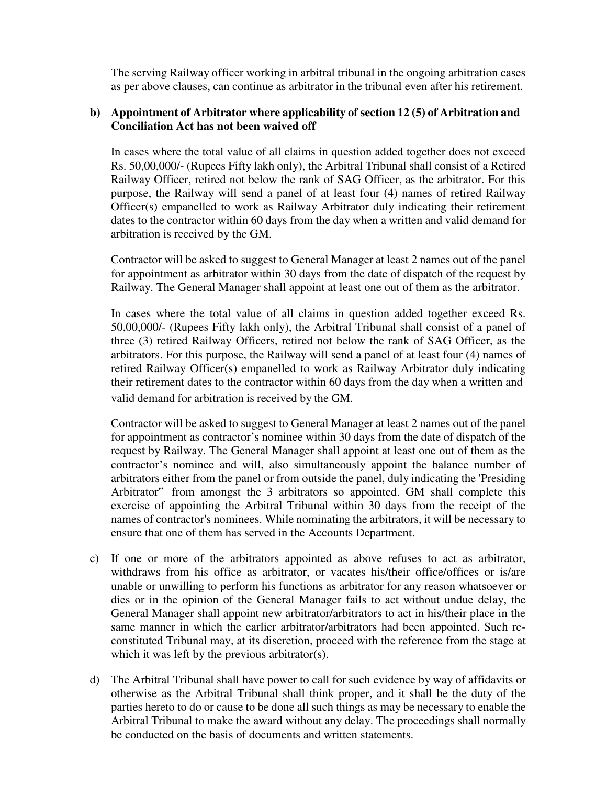The serving Railway officer working in arbitral tribunal in the ongoing arbitration cases as per above clauses, can continue as arbitrator in the tribunal even after his retirement.

## **b) Appointment of Arbitrator where applicability of section 12 (5) of Arbitration and Conciliation Act has not been waived off**

In cases where the total value of all claims in question added together does not exceed Rs. 50,00,000/- (Rupees Fifty lakh only), the Arbitral Tribunal shall consist of a Retired Railway Officer, retired not below the rank of SAG Officer, as the arbitrator. For this purpose, the Railway will send a panel of at least four (4) names of retired Railway Officer(s) empanelled to work as Railway Arbitrator duly indicating their retirement dates to the contractor within 60 days from the day when a written and valid demand for arbitration is received by the GM.

Contractor will be asked to suggest to General Manager at least 2 names out of the panel for appointment as arbitrator within 30 days from the date of dispatch of the request by Railway. The General Manager shall appoint at least one out of them as the arbitrator.

In cases where the total value of all claims in question added together exceed Rs. 50,00,000/- (Rupees Fifty lakh only), the Arbitral Tribunal shall consist of a panel of three (3) retired Railway Officers, retired not below the rank of SAG Officer, as the arbitrators. For this purpose, the Railway will send a panel of at least four (4) names of retired Railway Officer(s) empanelled to work as Railway Arbitrator duly indicating their retirement dates to the contractor within 60 days from the day when a written and valid demand for arbitration is received by the GM.

Contractor will be asked to suggest to General Manager at least 2 names out of the panel for appointment as contractor's nominee within 30 days from the date of dispatch of the request by Railway. The General Manager shall appoint at least one out of them as the contractor's nominee and will, also simultaneously appoint the balance number of arbitrators either from the panel or from outside the panel, duly indicating the 'Presiding Arbitrator" from amongst the 3 arbitrators so appointed. GM shall complete this exercise of appointing the Arbitral Tribunal within 30 days from the receipt of the names of contractor's nominees. While nominating the arbitrators, it will be necessary to ensure that one of them has served in the Accounts Department.

- c) If one or more of the arbitrators appointed as above refuses to act as arbitrator, withdraws from his office as arbitrator, or vacates his/their office/offices or is/are unable or unwilling to perform his functions as arbitrator for any reason whatsoever or dies or in the opinion of the General Manager fails to act without undue delay, the General Manager shall appoint new arbitrator/arbitrators to act in his/their place in the same manner in which the earlier arbitrator/arbitrators had been appointed. Such reconstituted Tribunal may, at its discretion, proceed with the reference from the stage at which it was left by the previous arbitrator(s).
- d) The Arbitral Tribunal shall have power to call for such evidence by way of affidavits or otherwise as the Arbitral Tribunal shall think proper, and it shall be the duty of the parties hereto to do or cause to be done all such things as may be necessary to enable the Arbitral Tribunal to make the award without any delay. The proceedings shall normally be conducted on the basis of documents and written statements.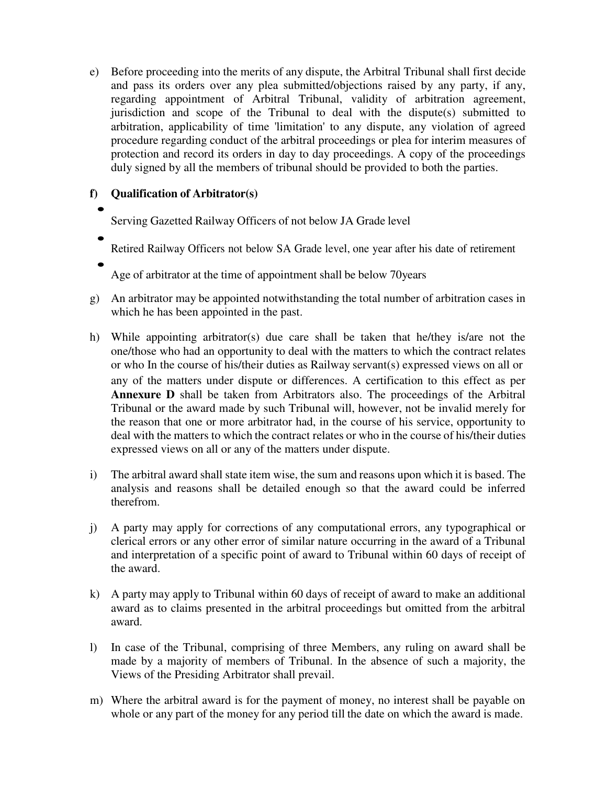e) Before proceeding into the merits of any dispute, the Arbitral Tribunal shall first decide and pass its orders over any plea submitted/objections raised by any party, if any, regarding appointment of Arbitral Tribunal, validity of arbitration agreement, jurisdiction and scope of the Tribunal to deal with the dispute(s) submitted to arbitration, applicability of time 'limitation' to any dispute, any violation of agreed procedure regarding conduct of the arbitral proceedings or plea for interim measures of protection and record its orders in day to day proceedings. A copy of the proceedings duly signed by all the members of tribunal should be provided to both the parties.

# **f) Qualification of Arbitrator(s)**

# $\bullet$

 $\bullet$ 

 $\bullet$ 

Serving Gazetted Railway Officers of not below JA Grade level

- Retired Railway Officers not below SA Grade level, one year after his date of retirement
- Age of arbitrator at the time of appointment shall be below 70years
- g) An arbitrator may be appointed notwithstanding the total number of arbitration cases in which he has been appointed in the past.
- h) While appointing arbitrator(s) due care shall be taken that he/they is/are not the one/those who had an opportunity to deal with the matters to which the contract relates or who In the course of his/their duties as Railway servant(s) expressed views on all or any of the matters under dispute or differences. A certification to this effect as per **Annexure D** shall be taken from Arbitrators also. The proceedings of the Arbitral Tribunal or the award made by such Tribunal will, however, not be invalid merely for the reason that one or more arbitrator had, in the course of his service, opportunity to deal with the matters to which the contract relates or who in the course of his/their duties expressed views on all or any of the matters under dispute.
- i) The arbitral award shall state item wise, the sum and reasons upon which it is based. The analysis and reasons shall be detailed enough so that the award could be inferred therefrom.
- j) A party may apply for corrections of any computational errors, any typographical or clerical errors or any other error of similar nature occurring in the award of a Tribunal and interpretation of a specific point of award to Tribunal within 60 days of receipt of the award.
- k) A party may apply to Tribunal within 60 days of receipt of award to make an additional award as to claims presented in the arbitral proceedings but omitted from the arbitral award.
- l) In case of the Tribunal, comprising of three Members, any ruling on award shall be made by a majority of members of Tribunal. In the absence of such a majority, the Views of the Presiding Arbitrator shall prevail.
- m) Where the arbitral award is for the payment of money, no interest shall be payable on whole or any part of the money for any period till the date on which the award is made.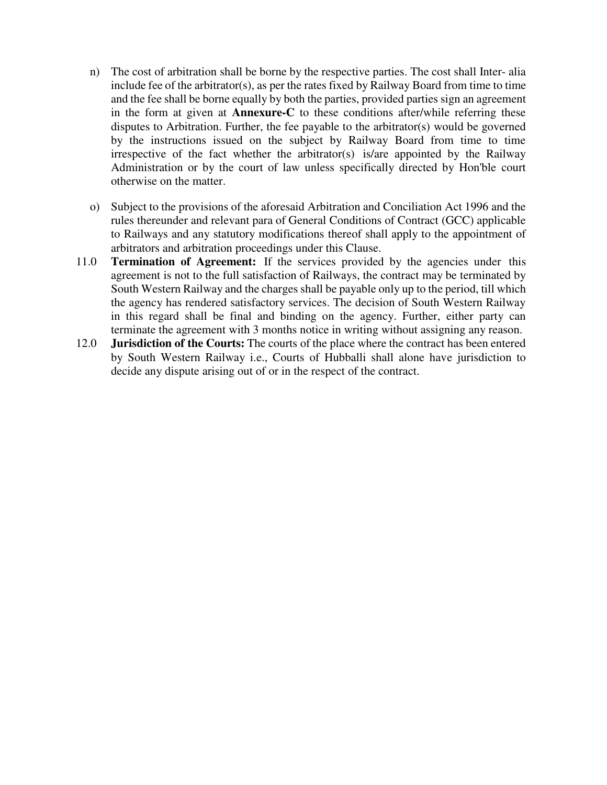- n) The cost of arbitration shall be borne by the respective parties. The cost shall Inter- alia include fee of the arbitrator(s), as per the rates fixed by Railway Board from time to time and the fee shall be borne equally by both the parties, provided parties sign an agreement in the form at given at **Annexure-C** to these conditions after/while referring these disputes to Arbitration. Further, the fee payable to the arbitrator(s) would be governed by the instructions issued on the subject by Railway Board from time to time irrespective of the fact whether the arbitrator(s) is/are appointed by the Railway Administration or by the court of law unless specifically directed by Hon'ble court otherwise on the matter.
- o) Subject to the provisions of the aforesaid Arbitration and Conciliation Act 1996 and the rules thereunder and relevant para of General Conditions of Contract (GCC) applicable to Railways and any statutory modifications thereof shall apply to the appointment of arbitrators and arbitration proceedings under this Clause.
- 11.0 **Termination of Agreement:** If the services provided by the agencies under this agreement is not to the full satisfaction of Railways, the contract may be terminated by South Western Railway and the charges shall be payable only up to the period, till which the agency has rendered satisfactory services. The decision of South Western Railway in this regard shall be final and binding on the agency. Further, either party can terminate the agreement with 3 months notice in writing without assigning any reason.
- 12.0 **Jurisdiction of the Courts:** The courts of the place where the contract has been entered by South Western Railway i.e., Courts of Hubballi shall alone have jurisdiction to decide any dispute arising out of or in the respect of the contract.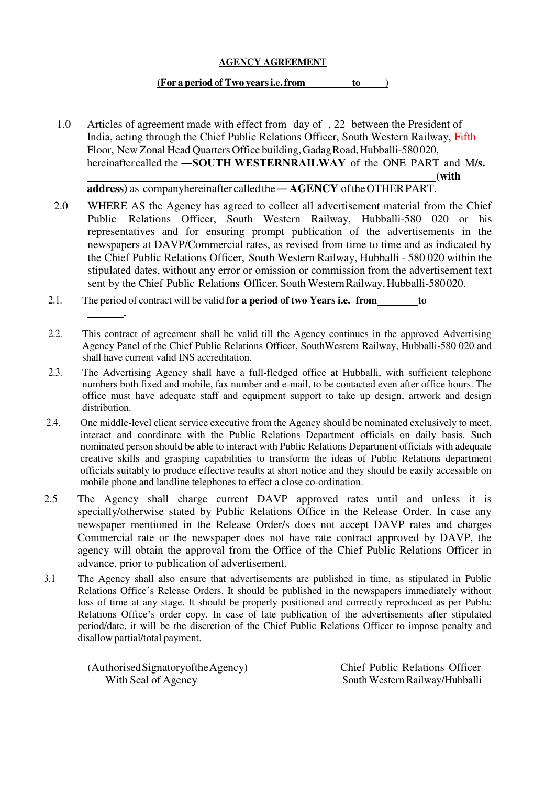#### **AGENCY AGREEMENT**

#### (For a period of Two years i.e. from to )

1.0 Articles of agreement made with effect from day of , 22 between the President of India, acting through the Chief Public Relations Officer, South Western Railway, Fifth Floor, New Zonal Head Quarters Office building, Gadag Road, Hubballi-580 020, hereinafter called the **―SOUTH WESTERNRAILWAY** of the ONE PART and M**/s.**  *(with with strategy strategy strategy strategy strategy strategy strategy strategy strategy strategy strategy strategy strategy strategy strategy strategy strategy strategy strategy strategy strategy strategy strategy s* 

**address)** as companyhereinafter called the **― AGENCY** of the OTHER PART.

- 2.0 WHERE AS the Agency has agreed to collect all advertisement material from the Chief Public Relations Officer, South Western Railway, Hubballi-580 020 or his representatives and for ensuring prompt publication of the advertisements in the newspapers at DAVP/Commercial rates, as revised from time to time and as indicated by the Chief Public Relations Officer, South Western Railway, Hubballi - 580 020 within the stipulated dates, without any error or omission or commission from the advertisement text sent by the Chief Public Relations Officer, South Western Railway, Hubballi-580 020.
- 2.1. The period of contract will be valid **for a period of two Years i.e. from to**
- 2.2. This contract of agreement shall be valid till the Agency continues in the approved Advertising Agency Panel of the Chief Public Relations Officer, SouthWestern Railway, Hubballi-580 020 and shall have current valid INS accreditation.
- 2.3. The Advertising Agency shall have a full-fledged office at Hubballi, with sufficient telephone numbers both fixed and mobile, fax number and e-mail, to be contacted even after office hours. The office must have adequate staff and equipment support to take up design, artwork and design distribution.
- 2.4. One middle-level client service executive from the Agency should be nominated exclusively to meet, interact and coordinate with the Public Relations Department officials on daily basis. Such nominated person should be able to interact with Public Relations Department officials with adequate creative skills and grasping capabilities to transform the ideas of Public Relations department officials suitably to produce effective results at short notice and they should be easily accessible on mobile phone and landline telephones to effect a close co-ordination.
- 2.5 The Agency shall charge current DAVP approved rates until and unless it is specially/otherwise stated by Public Relations Office in the Release Order. In case any newspaper mentioned in the Release Order/s does not accept DAVP rates and charges Commercial rate or the newspaper does not have rate contract approved by DAVP, the agency will obtain the approval from the Office of the Chief Public Relations Officer in advance, prior to publication of advertisement.
- 3.1 The Agency shall also ensure that advertisements are published in time, as stipulated in Public Relations Office's Release Orders. It should be published in the newspapers immediately without loss of time at any stage. It should be properly positioned and correctly reproduced as per Public Relations Office's order copy. In case of late publication of the advertisements after stipulated period/date, it will be the discretion of the Chief Public Relations Officer to impose penalty and disallow partial/total payment.

(Authorised Signatoryofthe Agency) Chief Public Relations Officer With Seal of Agency South Western Railway/Hubballi

 **.**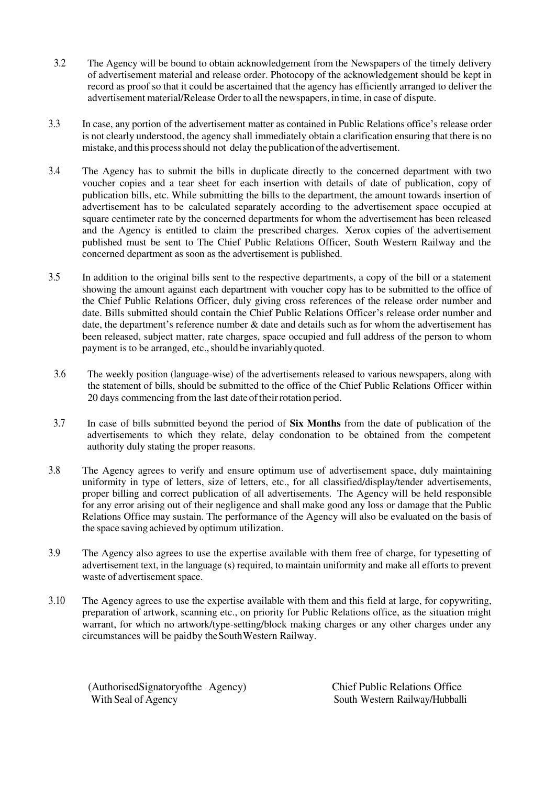- 3.2 The Agency will be bound to obtain acknowledgement from the Newspapers of the timely delivery of advertisement material and release order. Photocopy of the acknowledgement should be kept in record as proof so that it could be ascertained that the agency has efficiently arranged to deliver the advertisement material/Release Order to all the newspapers, in time, in case of dispute.
- 3.3 In case, any portion of the advertisement matter as contained in Public Relations office's release order is not clearly understood, the agency shall immediately obtain a clarification ensuring that there is no mistake, and this process should not delay the publication of the advertisement.
- 3.4 The Agency has to submit the bills in duplicate directly to the concerned department with two voucher copies and a tear sheet for each insertion with details of date of publication, copy of publication bills, etc. While submitting the bills to the department, the amount towards insertion of advertisement has to be calculated separately according to the advertisement space occupied at square centimeter rate by the concerned departments for whom the advertisement has been released and the Agency is entitled to claim the prescribed charges. Xerox copies of the advertisement published must be sent to The Chief Public Relations Officer, South Western Railway and the concerned department as soon as the advertisement is published.
- 3.5 In addition to the original bills sent to the respective departments, a copy of the bill or a statement showing the amount against each department with voucher copy has to be submitted to the office of the Chief Public Relations Officer, duly giving cross references of the release order number and date. Bills submitted should contain the Chief Public Relations Officer's release order number and date, the department's reference number & date and details such as for whom the advertisement has been released, subject matter, rate charges, space occupied and full address of the person to whom payment is to be arranged, etc., should be invariably quoted.
- 3.6 The weekly position (language-wise) of the advertisements released to various newspapers, along with the statement of bills, should be submitted to the office of the Chief Public Relations Officer within 20 days commencing from the last date of their rotation period.
- 3.7 In case of bills submitted beyond the period of **Six Months** from the date of publication of the advertisements to which they relate, delay condonation to be obtained from the competent authority duly stating the proper reasons.
- 3.8 The Agency agrees to verify and ensure optimum use of advertisement space, duly maintaining uniformity in type of letters, size of letters, etc., for all classified/display/tender advertisements, proper billing and correct publication of all advertisements. The Agency will be held responsible for any error arising out of their negligence and shall make good any loss or damage that the Public Relations Office may sustain. The performance of the Agency will also be evaluated on the basis of the space saving achieved by optimum utilization.
- 3.9 The Agency also agrees to use the expertise available with them free of charge, for typesetting of advertisement text, in the language (s) required, to maintain uniformity and make all efforts to prevent waste of advertisement space.
- 3.10 The Agency agrees to use the expertise available with them and this field at large, for copywriting, preparation of artwork, scanning etc., on priority for Public Relations office, as the situation might warrant, for which no artwork/type-setting/block making charges or any other charges under any circumstances will be paid by the South Western Railway.

(AuthorisedSignatoryofthe Agency) Chief Public Relations Office With Seal of Agency South Western Railway/Hubballi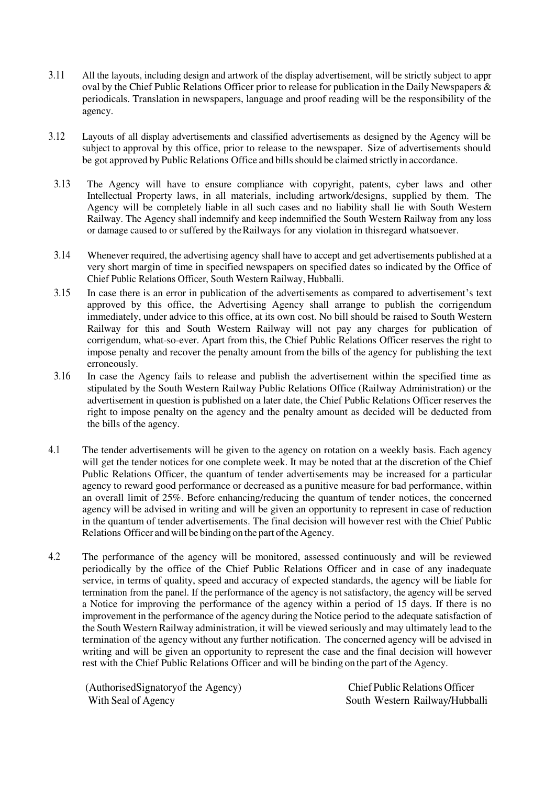- 3.11 All the layouts, including design and artwork of the display advertisement, will be strictly subject to appr oval by the Chief Public Relations Officer prior to release for publication in the Daily Newspapers & periodicals. Translation in newspapers, language and proof reading will be the responsibility of the agency.
- 3.12 Layouts of all display advertisements and classified advertisements as designed by the Agency will be subject to approval by this office, prior to release to the newspaper. Size of advertisements should be got approved by Public Relations Office and bills should be claimed strictly in accordance.
- 3.13 The Agency will have to ensure compliance with copyright, patents, cyber laws and other Intellectual Property laws, in all materials, including artwork/designs, supplied by them. The Agency will be completely liable in all such cases and no liability shall lie with South Western Railway. The Agency shall indemnify and keep indemnified the South Western Railway from any loss or damage caused to or suffered by the Railways for any violation in this regard whatsoever.
- 3.14 Whenever required, the advertising agency shall have to accept and get advertisements published at a very short margin of time in specified newspapers on specified dates so indicated by the Office of Chief Public Relations Officer, South Western Railway, Hubballi.
- 3.15 In case there is an error in publication of the advertisements as compared to advertisement's text approved by this office, the Advertising Agency shall arrange to publish the corrigendum immediately, under advice to this office, at its own cost. No bill should be raised to South Western Railway for this and South Western Railway will not pay any charges for publication of corrigendum, what-so-ever. Apart from this, the Chief Public Relations Officer reserves the right to impose penalty and recover the penalty amount from the bills of the agency for publishing the text erroneously.
- 3.16 In case the Agency fails to release and publish the advertisement within the specified time as stipulated by the South Western Railway Public Relations Office (Railway Administration) or the advertisement in question is published on a later date, the Chief Public Relations Officer reserves the right to impose penalty on the agency and the penalty amount as decided will be deducted from the bills of the agency.
- 4.1 The tender advertisements will be given to the agency on rotation on a weekly basis. Each agency will get the tender notices for one complete week. It may be noted that at the discretion of the Chief Public Relations Officer, the quantum of tender advertisements may be increased for a particular agency to reward good performance or decreased as a punitive measure for bad performance, within an overall limit of 25%. Before enhancing/reducing the quantum of tender notices, the concerned agency will be advised in writing and will be given an opportunity to represent in case of reduction in the quantum of tender advertisements. The final decision will however rest with the Chief Public Relations Officer and will be binding on the part of the Agency.
- 4.2 The performance of the agency will be monitored, assessed continuously and will be reviewed periodically by the office of the Chief Public Relations Officer and in case of any inadequate service, in terms of quality, speed and accuracy of expected standards, the agency will be liable for termination from the panel. If the performance of the agency is not satisfactory, the agency will be served a Notice for improving the performance of the agency within a period of 15 days. If there is no improvement in the performance of the agency during the Notice period to the adequate satisfaction of the South Western Railway administration, it will be viewed seriously and may ultimately lead to the termination of the agency without any further notification. The concerned agency will be advised in writing and will be given an opportunity to represent the case and the final decision will however rest with the Chief Public Relations Officer and will be binding on the part of the Agency.

(AuthorisedSignatoryof the Agency) Chief Public Relations Officer With Seal of Agency South Western Railway/Hubballi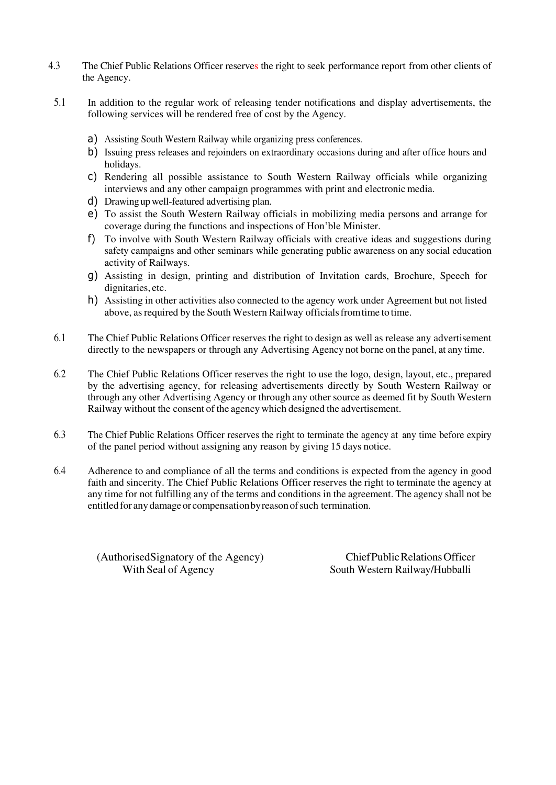- 4.3 The Chief Public Relations Officer reserves the right to seek performance report from other clients of the Agency.
- 5.1 In addition to the regular work of releasing tender notifications and display advertisements, the following services will be rendered free of cost by the Agency.
	- a) Assisting South Western Railway while organizing press conferences.
	- b) Issuing press releases and rejoinders on extraordinary occasions during and after office hours and holidays.
	- c) Rendering all possible assistance to South Western Railway officials while organizing interviews and any other campaign programmes with print and electronic media.
	- d) Drawing up well-featured advertising plan.
	- e) To assist the South Western Railway officials in mobilizing media persons and arrange for coverage during the functions and inspections of Hon'ble Minister.
	- f) To involve with South Western Railway officials with creative ideas and suggestions during safety campaigns and other seminars while generating public awareness on any social education activity of Railways.
	- g) Assisting in design, printing and distribution of Invitation cards, Brochure, Speech for dignitaries, etc.
	- h) Assisting in other activities also connected to the agency work under Agreement but not listed above, as required by the South Western Railway officials from time to time.
- 6.1 The Chief Public Relations Officer reserves the right to design as well as release any advertisement directly to the newspapers or through any Advertising Agency not borne on the panel, at any time.
- 6.2 The Chief Public Relations Officer reserves the right to use the logo, design, layout, etc., prepared by the advertising agency, for releasing advertisements directly by South Western Railway or through any other Advertising Agency or through any other source as deemed fit by South Western Railway without the consent of the agency which designed the advertisement.
- 6.3 The Chief Public Relations Officer reserves the right to terminate the agency at any time before expiry of the panel period without assigning any reason by giving 15 days notice.
- 6.4 Adherence to and compliance of all the terms and conditions is expected from the agency in good faith and sincerity. The Chief Public Relations Officer reserves the right to terminate the agency at any time for not fulfilling any of the terms and conditions in the agreement. The agency shall not be entitled for any damage or compensation by reason of such termination.

(AuthorisedSignatory of the Agency) Chief Public Relations Officer

With Seal of Agency South Western Railway/Hubballi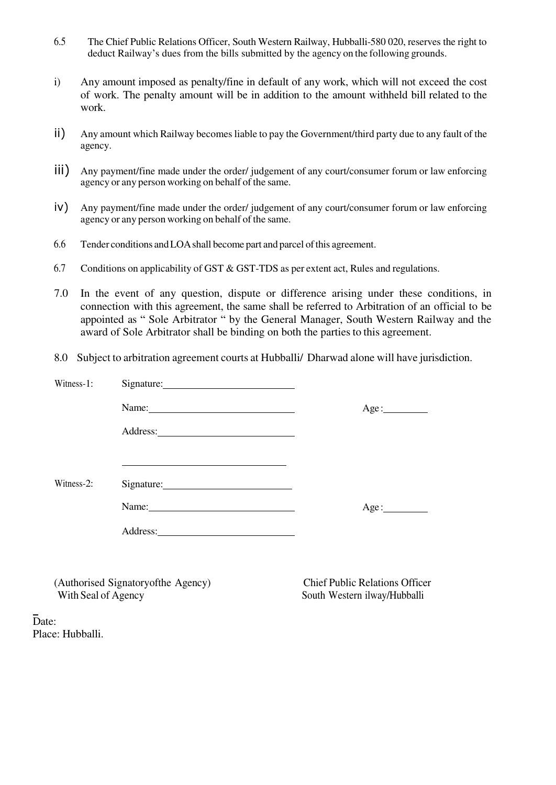- 6.5 The Chief Public Relations Officer, South Western Railway, Hubballi-580 020, reserves the right to deduct Railway's dues from the bills submitted by the agency on the following grounds.
- i) Any amount imposed as penalty/fine in default of any work, which will not exceed the cost of work. The penalty amount will be in addition to the amount withheld bill related to the work.
- ii) Any amount which Railway becomes liable to pay the Government/third party due to any fault of the agency.
- iii) Any payment/fine made under the order/ judgement of any court/consumer forum or law enforcing agency or any person working on behalf of the same.
- iv) Any payment/fine made under the order/ judgement of any court/consumer forum or law enforcing agency or any person working on behalf of the same.
- 6.6 Tender conditions and LOA shall become part and parcel of this agreement.
- 6.7 Conditions on applicability of GST & GST-TDS as per extent act, Rules and regulations.
- 7.0 In the event of any question, dispute or difference arising under these conditions, in connection with this agreement, the same shall be referred to Arbitration of an official to be appointed as " Sole Arbitrator " by the General Manager, South Western Railway and the award of Sole Arbitrator shall be binding on both the parties to this agreement.
- 8.0 Subject to arbitration agreement courts at Hubballi/ Dharwad alone will have jurisdiction.

| Witness-1: |                                                                                                                                                                                                                               |      |
|------------|-------------------------------------------------------------------------------------------------------------------------------------------------------------------------------------------------------------------------------|------|
|            | Name:                                                                                                                                                                                                                         | Age: |
|            |                                                                                                                                                                                                                               |      |
|            |                                                                                                                                                                                                                               |      |
| Witness-2: | Signature:                                                                                                                                                                                                                    |      |
|            | Name: Name and the service of the service of the service of the service of the service of the service of the service of the service of the service of the service of the service of the service of the service of the service | Age: |
|            |                                                                                                                                                                                                                               |      |

(Authorised Signatoryofthe Agency) Chief Public Relations Officer With Seal of Agency South Western ilway/Hubballi

Date: Place: Hubballi.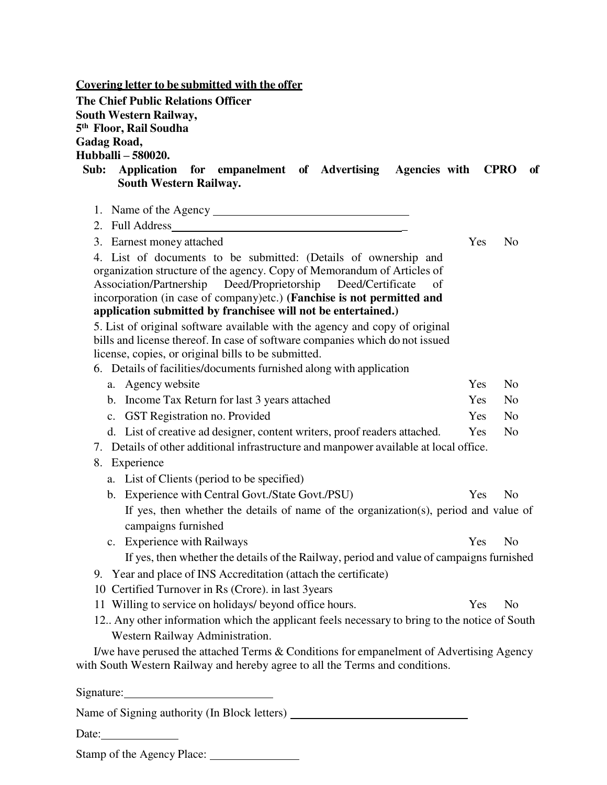| <b>Covering letter to be submitted with the offer</b>                                                                                                                   |     |                |
|-------------------------------------------------------------------------------------------------------------------------------------------------------------------------|-----|----------------|
| <b>The Chief Public Relations Officer</b>                                                                                                                               |     |                |
| South Western Railway,                                                                                                                                                  |     |                |
| 5 <sup>th</sup> Floor, Rail Soudha                                                                                                                                      |     |                |
| Gadag Road,<br>Hubballi - 580020.                                                                                                                                       |     |                |
| Sub:<br><b>Application</b><br>for empanelment of Advertising Agencies with CPRO                                                                                         |     | of             |
| South Western Railway.                                                                                                                                                  |     |                |
|                                                                                                                                                                         |     |                |
|                                                                                                                                                                         |     |                |
| 2. Full Address                                                                                                                                                         |     |                |
| 3. Earnest money attached                                                                                                                                               | Yes | N <sub>o</sub> |
| 4. List of documents to be submitted: (Details of ownership and                                                                                                         |     |                |
| organization structure of the agency. Copy of Memorandum of Articles of<br>Association/Partnership Deed/Proprietorship<br>Deed/Certificate<br>of                        |     |                |
| incorporation (in case of company)etc.) (Fanchise is not permitted and                                                                                                  |     |                |
| application submitted by franchisee will not be entertained.)                                                                                                           |     |                |
| 5. List of original software available with the agency and copy of original                                                                                             |     |                |
| bills and license thereof. In case of software companies which do not issued                                                                                            |     |                |
| license, copies, or original bills to be submitted.                                                                                                                     |     |                |
| 6. Details of facilities/documents furnished along with application                                                                                                     |     |                |
| a. Agency website                                                                                                                                                       | Yes | N <sub>o</sub> |
| b. Income Tax Return for last 3 years attached                                                                                                                          | Yes | N <sub>o</sub> |
| c. GST Registration no. Provided                                                                                                                                        | Yes | N <sub>o</sub> |
| d. List of creative ad designer, content writers, proof readers attached.                                                                                               | Yes | N <sub>o</sub> |
| 7. Details of other additional infrastructure and manpower available at local office.                                                                                   |     |                |
| Experience<br>8.                                                                                                                                                        |     |                |
| a. List of Clients (period to be specified)                                                                                                                             |     |                |
| b. Experience with Central Govt./State Govt./PSU)                                                                                                                       | Yes | N <sub>o</sub> |
| If yes, then whether the details of name of the organization(s), period and value of                                                                                    |     |                |
| campaigns furnished                                                                                                                                                     |     |                |
| <b>Experience with Railways</b><br>$\mathbf{c}$ .                                                                                                                       | Yes | N <sub>o</sub> |
| If yes, then whether the details of the Railway, period and value of campaigns furnished                                                                                |     |                |
| 9. Year and place of INS Accreditation (attach the certificate)                                                                                                         |     |                |
| 10 Certified Turnover in Rs (Crore). in last 3years                                                                                                                     |     |                |
| 11 Willing to service on holidays/ beyond office hours.                                                                                                                 | Yes | N <sub>0</sub> |
| 12. Any other information which the applicant feels necessary to bring to the notice of South                                                                           |     |                |
| Western Railway Administration.                                                                                                                                         |     |                |
| I/we have perused the attached Terms & Conditions for empanelment of Advertising Agency<br>with South Western Railway and hereby agree to all the Terms and conditions. |     |                |
|                                                                                                                                                                         |     |                |
| Name of Signing authority (In Block letters) ___________________________________                                                                                        |     |                |
|                                                                                                                                                                         |     |                |

Date:

Stamp of the Agency Place: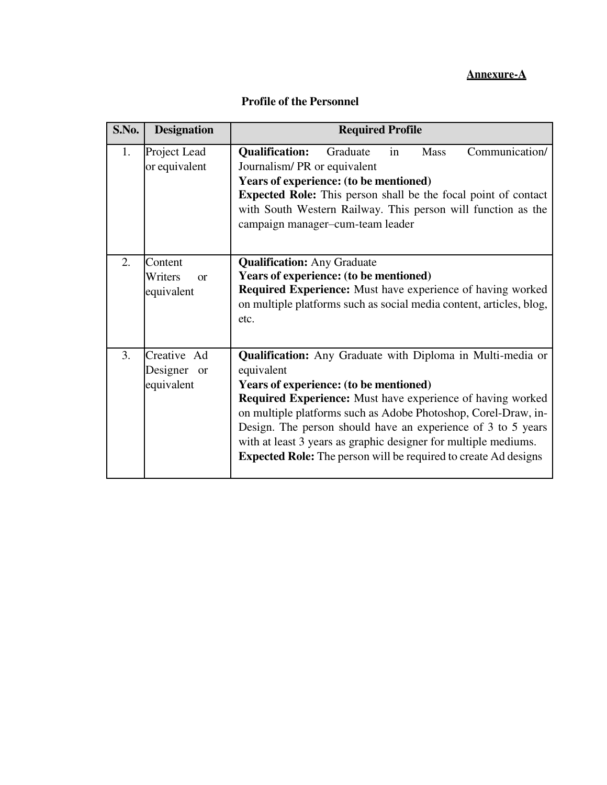# **Annexure-A**

| S.No. | <b>Designation</b>                           | <b>Required Profile</b>                                                                                                                                                                                                                                                                                                                                                                                                                                                       |  |  |  |
|-------|----------------------------------------------|-------------------------------------------------------------------------------------------------------------------------------------------------------------------------------------------------------------------------------------------------------------------------------------------------------------------------------------------------------------------------------------------------------------------------------------------------------------------------------|--|--|--|
| 1.    | Project Lead<br>or equivalent                | Communication/<br><b>Qualification:</b><br>Graduate<br><b>Mass</b><br>in<br>Journalism/PR or equivalent<br>Years of experience: (to be mentioned)<br><b>Expected Role:</b> This person shall be the focal point of contact<br>with South Western Railway. This person will function as the<br>campaign manager-cum-team leader                                                                                                                                                |  |  |  |
| 2.    | Content<br>Writers<br>$\alpha$<br>equivalent | <b>Qualification:</b> Any Graduate<br>Years of experience: (to be mentioned)<br><b>Required Experience:</b> Must have experience of having worked<br>on multiple platforms such as social media content, articles, blog,<br>etc.                                                                                                                                                                                                                                              |  |  |  |
| 3.    | Creative Ad<br>Designer or<br>equivalent     | <b>Qualification:</b> Any Graduate with Diploma in Multi-media or<br>equivalent<br>Years of experience: (to be mentioned)<br><b>Required Experience:</b> Must have experience of having worked<br>on multiple platforms such as Adobe Photoshop, Corel-Draw, in-<br>Design. The person should have an experience of 3 to 5 years<br>with at least 3 years as graphic designer for multiple mediums.<br><b>Expected Role:</b> The person will be required to create Ad designs |  |  |  |

# **Profile of the Personnel**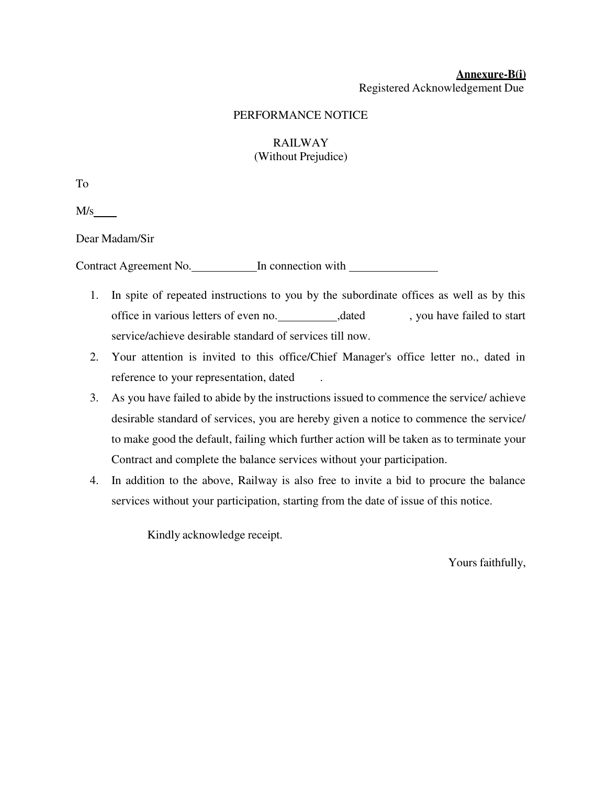#### **Annexure-B(i)**  Registered Acknowledgement Due

#### PERFORMANCE NOTICE

## RAILWAY (Without Prejudice)

To

M/s

Dear Madam/Sir

Contract Agreement No. In connection with

- 1. In spite of repeated instructions to you by the subordinate offices as well as by this office in various letters of even no. ,dated , you have failed to start service/achieve desirable standard of services till now.
- 2. Your attention is invited to this office/Chief Manager's office letter no., dated in reference to your representation, dated .
- 3. As you have failed to abide by the instructions issued to commence the service/ achieve desirable standard of services, you are hereby given a notice to commence the service/ to make good the default, failing which further action will be taken as to terminate your Contract and complete the balance services without your participation.
- 4. In addition to the above, Railway is also free to invite a bid to procure the balance services without your participation, starting from the date of issue of this notice.

Kindly acknowledge receipt.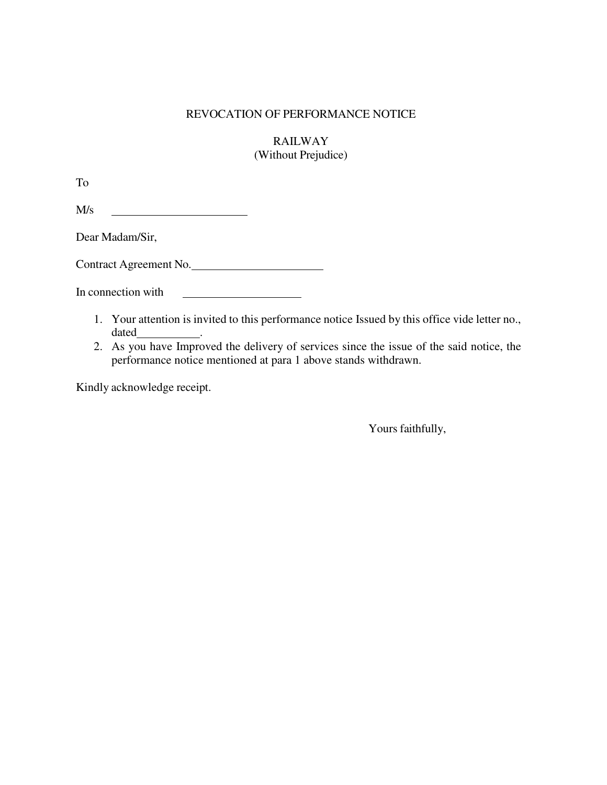## REVOCATION OF PERFORMANCE NOTICE

RAILWAY (Without Prejudice)

To

M/s <u> 1990 - Johann Barbara, martin a</u>

Dear Madam/Sir,

Contract Agreement No.

In connection with

- 1. Your attention is invited to this performance notice Issued by this office vide letter no., dated
- 2. As you have Improved the delivery of services since the issue of the said notice, the performance notice mentioned at para 1 above stands withdrawn.

Kindly acknowledge receipt.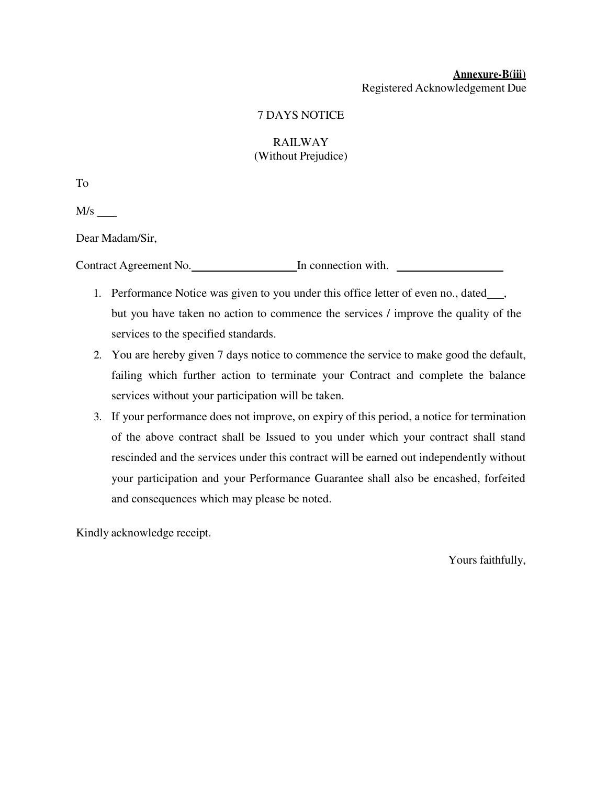### **Annexure-B(iii)** Registered Acknowledgement Due

## 7 DAYS NOTICE

## RAILWAY (Without Prejudice)

To

M/s

Dear Madam/Sir,

Contract Agreement No. In connection with.

- 1. Performance Notice was given to you under this office letter of even no., dated\_\_\_, but you have taken no action to commence the services / improve the quality of the services to the specified standards.
- 2. You are hereby given 7 days notice to commence the service to make good the default, failing which further action to terminate your Contract and complete the balance services without your participation will be taken.
- 3. If your performance does not improve, on expiry of this period, a notice for termination of the above contract shall be Issued to you under which your contract shall stand rescinded and the services under this contract will be earned out independently without your participation and your Performance Guarantee shall also be encashed, forfeited and consequences which may please be noted.

Kindly acknowledge receipt.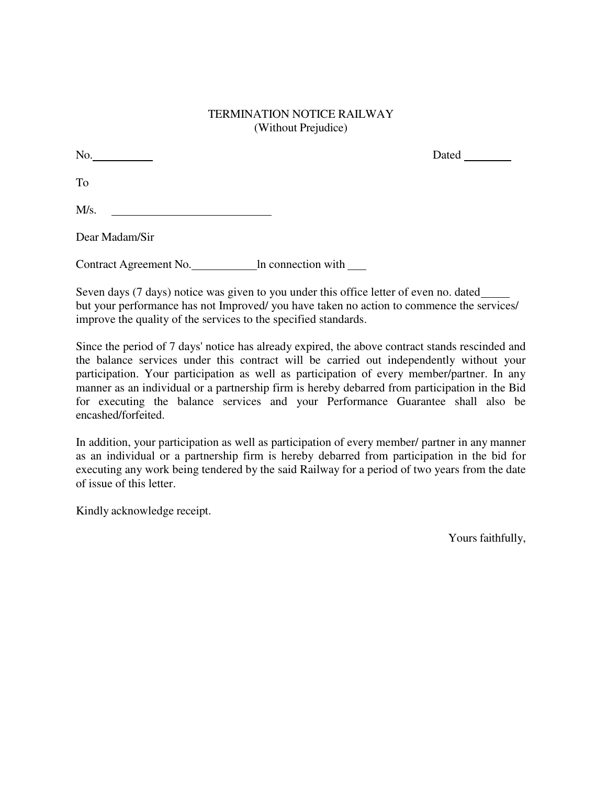### TERMINATION NOTICE RAILWAY (Without Prejudice)

No. Dated To  $M/s$ .

Dear Madam/Sir

Contract Agreement No. 11 **In connection with** 

Seven days (7 days) notice was given to you under this office letter of even no. dated but your performance has not Improved/ you have taken no action to commence the services/ improve the quality of the services to the specified standards.

Since the period of 7 days' notice has already expired, the above contract stands rescinded and the balance services under this contract will be carried out independently without your participation. Your participation as well as participation of every member/partner. In any manner as an individual or a partnership firm is hereby debarred from participation in the Bid for executing the balance services and your Performance Guarantee shall also be encashed/forfeited.

In addition, your participation as well as participation of every member/ partner in any manner as an individual or a partnership firm is hereby debarred from participation in the bid for executing any work being tendered by the said Railway for a period of two years from the date of issue of this letter.

Kindly acknowledge receipt.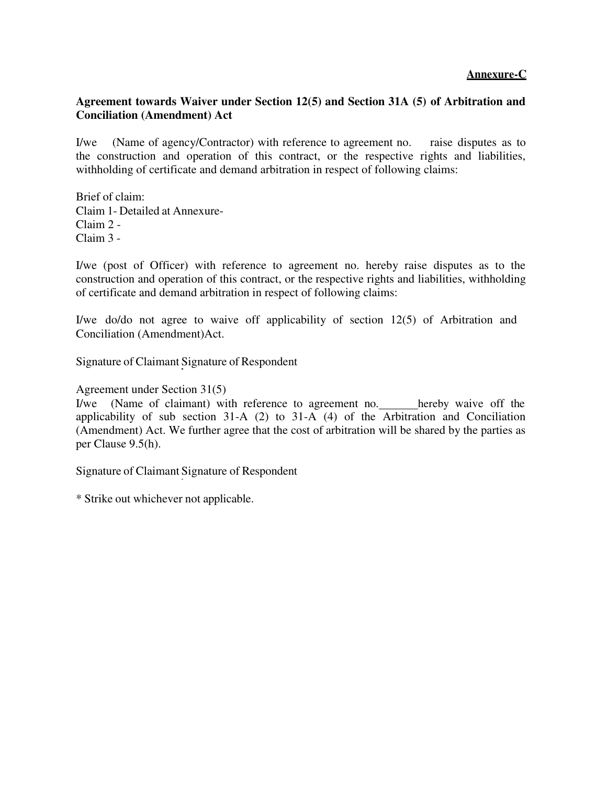## **Annexure-C**

## **Agreement towards Waiver under Section 12(5) and Section 31A (5) of Arbitration and Conciliation (Amendment) Act**

I/we (Name of agency/Contractor) with reference to agreement no. raise disputes as to the construction and operation of this contract, or the respective rights and liabilities, withholding of certificate and demand arbitration in respect of following claims:

Brief of claim: Claim 1- Detailed at Annexure-Claim 2 - Claim 3 -

I/we (post of Officer) with reference to agreement no. hereby raise disputes as to the construction and operation of this contract, or the respective rights and liabilities, withholding of certificate and demand arbitration in respect of following claims:

I/we do/do not agree to waive off applicability of section 12(5) of Arbitration and Conciliation (Amendment)Act.

Signature of Claimant Signature of Respondent

Agreement under Section 31(5)

I/we (Name of claimant) with reference to agreement no. hereby waive off the applicability of sub section 31-A (2) to 31-A (4) of the Arbitration and Conciliation (Amendment) Act. We further agree that the cost of arbitration will be shared by the parties as per Clause 9.5(h).

Signature of Claimant Signature of Respondent

\* Strike out whichever not applicable.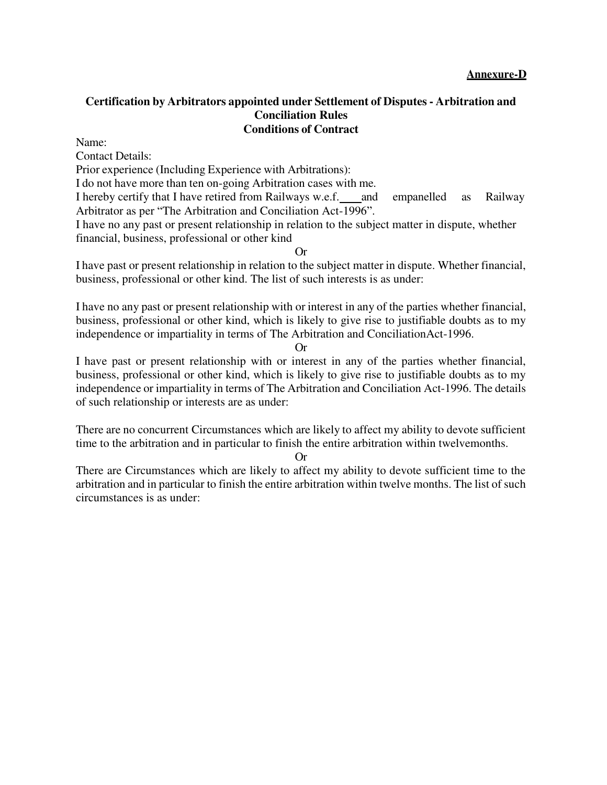#### **Certification by Arbitrators appointed under Settlement of Disputes - Arbitration and Conciliation Rules Conditions of Contract**

Name:

Contact Details:

Prior experience (Including Experience with Arbitrations):

I do not have more than ten on-going Arbitration cases with me.

I hereby certify that I have retired from Railways w.e.f. and empanelled as Railway Arbitrator as per "The Arbitration and Conciliation Act-1996".

I have no any past or present relationship in relation to the subject matter in dispute, whether financial, business, professional or other kind

Or

I have past or present relationship in relation to the subject matter in dispute. Whether financial, business, professional or other kind. The list of such interests is as under:

I have no any past or present relationship with or interest in any of the parties whether financial, business, professional or other kind, which is likely to give rise to justifiable doubts as to my independence or impartiality in terms of The Arbitration and ConciliationAct-1996.

#### Or

I have past or present relationship with or interest in any of the parties whether financial, business, professional or other kind, which is likely to give rise to justifiable doubts as to my independence or impartiality in terms of The Arbitration and Conciliation Act-1996. The details of such relationship or interests are as under:

There are no concurrent Circumstances which are likely to affect my ability to devote sufficient time to the arbitration and in particular to finish the entire arbitration within twelvemonths.

#### Or

There are Circumstances which are likely to affect my ability to devote sufficient time to the arbitration and in particular to finish the entire arbitration within twelve months. The list of such circumstances is as under: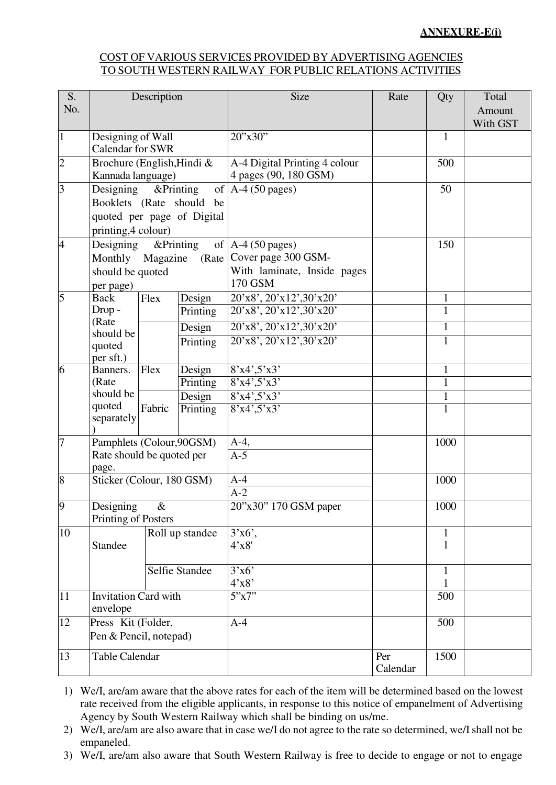#### **ANNEXURE-E(i)**

#### COST OF VARIOUS SERVICES PROVIDED BY ADVERTISING AGENCIES TO SOUTH WESTERN RAILWAY FOR PUBLIC RELATIONS ACTIVITIES

| S.                   | Description                                     |                   |                    | <b>Size</b>                                            | Rate            | Qty                          | Total    |
|----------------------|-------------------------------------------------|-------------------|--------------------|--------------------------------------------------------|-----------------|------------------------------|----------|
| No.                  |                                                 |                   |                    |                                                        |                 |                              | Amount   |
| $\mathbf{1}$         | Designing of Wall                               |                   |                    | 20"x30"                                                |                 | $\mathbf{1}$                 | With GST |
|                      | <b>Calendar for SWR</b>                         |                   |                    |                                                        |                 |                              |          |
| $\overline{2}$       | Brochure (English, Hindi &<br>Kannada language) |                   |                    | A-4 Digital Printing 4 colour<br>4 pages (90, 180 GSM) |                 | 500                          |          |
| $\overline{3}$       | &Printing<br>Designing                          |                   |                    | of $A-4$ (50 pages)                                    |                 | 50                           |          |
|                      | Booklets (Rate should be                        |                   |                    |                                                        |                 |                              |          |
|                      | quoted per page of Digital                      |                   |                    |                                                        |                 |                              |          |
|                      | printing, 4 colour)                             |                   |                    |                                                        |                 |                              |          |
| $\overline{4}$       | Designing<br>Monthly Magazine                   | &Printing         |                    | of $A-4$ (50 pages)<br>(Rate   Cover page 300 GSM-     |                 | 150                          |          |
|                      |                                                 |                   |                    | With laminate, Inside pages                            |                 |                              |          |
|                      | should be quoted<br>per page)                   |                   |                    | 170 GSM                                                |                 |                              |          |
| $\overline{5}$       | <b>Back</b>                                     | Flex              | Design             | 20'x8', 20'x12',30'x20'                                |                 | $\mathbf{1}$                 |          |
|                      | Drop-                                           |                   | Printing           | 20'x8', 20'x12', 30'x20'                               |                 | $\mathbf{1}$                 |          |
|                      | (Rate<br>should be                              |                   | Design             | 20'x8', 20'x12', 30'x20'                               |                 | $\mathbf{1}$                 |          |
|                      | quoted                                          |                   | Printing           | 20'x8', 20'x12', 30'x20'                               |                 | $\mathbf{1}$                 |          |
|                      | per sft.)                                       |                   |                    |                                                        |                 |                              |          |
| 6                    | Banners.                                        | $\overline{F}$ ex | Design             | 8'x4',5'x3'                                            |                 | $\mathbf{1}$                 |          |
|                      | (Rate<br>should be                              |                   | Printing           | 8'x4',5'x3'                                            |                 | $\mathbf{1}$                 |          |
|                      | quoted                                          | Fabric            | Design<br>Printing | 8'x4',5'x3'<br>8'x4',5'x3'                             |                 | $\mathbf{1}$<br>$\mathbf{1}$ |          |
|                      | separately                                      |                   |                    |                                                        |                 |                              |          |
| $\overline{7}$       | Pamphlets (Colour, 90GSM)                       |                   |                    | $A-4$ ,                                                | 1000            |                              |          |
|                      | Rate should be quoted per<br>page.              |                   |                    | $A-5$                                                  |                 |                              |          |
| 8                    |                                                 |                   |                    | $A-4$                                                  |                 | 1000                         |          |
|                      | Sticker (Colour, 180 GSM)                       |                   |                    | $A-2$                                                  |                 |                              |          |
| $\boldsymbol{\beta}$ | Designing<br>&<br>Printing of Posters           |                   |                    | 20"x30" 170 GSM paper                                  |                 | 1000                         |          |
| 10                   |                                                 |                   |                    | $3'x6'$ ,                                              |                 | $\mathbf{1}$                 |          |
|                      | Roll up standee<br>Standee                      |                   |                    | 4'x8'                                                  |                 | $\mathbf{1}$                 |          |
|                      |                                                 |                   |                    |                                                        |                 |                              |          |
|                      |                                                 |                   | Selfie Standee     | 3'x6'                                                  |                 | $\mathbf{1}$                 |          |
| 11                   |                                                 |                   |                    | 4'x8'<br>5"x7"                                         |                 |                              |          |
|                      | <b>Invitation Card with</b><br>envelope         |                   |                    |                                                        |                 | 500                          |          |
| 12                   | Press Kit (Folder,                              |                   |                    | $A-4$                                                  |                 | 500                          |          |
|                      | Pen & Pencil, notepad)                          |                   |                    |                                                        |                 |                              |          |
| 13                   | <b>Table Calendar</b>                           |                   |                    |                                                        | Per<br>Calendar | 1500                         |          |

1) We/I, are/am aware that the above rates for each of the item will be determined based on the lowest rate received from the eligible applicants, in response to this notice of empanelment of Advertising Agency by South Western Railway which shall be binding on us/me.

- 2) We/I, are/am are also aware that in case we/I do not agree to the rate so determined, we/I shall not be empaneled.
- 3) We/I, are/am also aware that South Western Railway is free to decide to engage or not to engage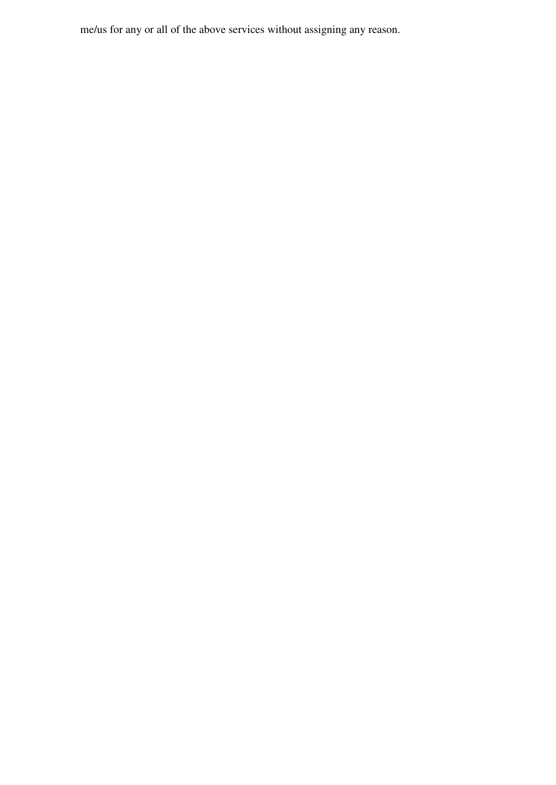me/us for any or all of the above services without assigning any reason.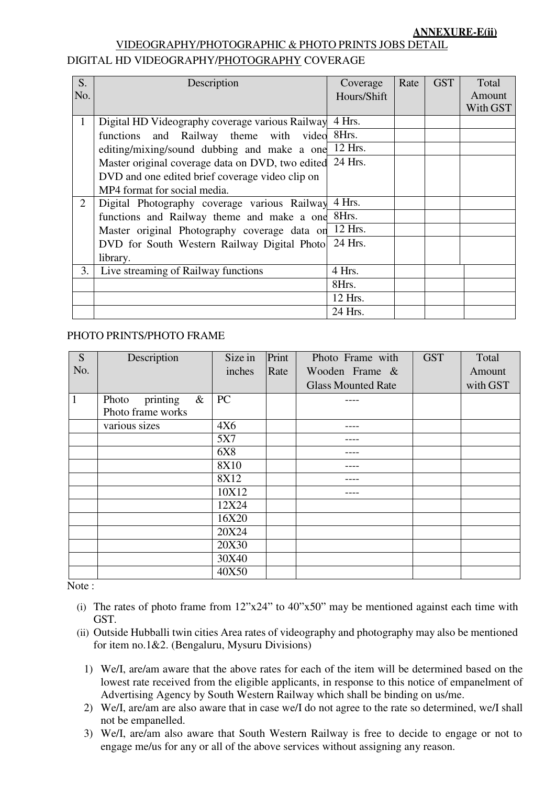# VIDEOGRAPHY/PHOTOGRAPHIC & PHOTO PRINTS JOBS DETAIL DIGITAL HD VIDEOGRAPHY/PHOTOGRAPHY COVERAGE

| S.           | Description                                              | Coverage    | Rate | <b>GST</b> | Total    |
|--------------|----------------------------------------------------------|-------------|------|------------|----------|
| No.          |                                                          | Hours/Shift |      |            | Amount   |
|              |                                                          |             |      |            | With GST |
| $\mathbf{1}$ | Digital HD Videography coverage various Railway          | 4 Hrs.      |      |            |          |
|              | functions and Railway theme with video                   | 8Hrs.       |      |            |          |
|              | editing/mixing/sound dubbing and make a one              | 12 Hrs.     |      |            |          |
|              | Master original coverage data on DVD, two edited 24 Hrs. |             |      |            |          |
|              | DVD and one edited brief coverage video clip on          |             |      |            |          |
|              | MP4 format for social media.                             |             |      |            |          |
| 2            | Digital Photography coverage various Railway             | 4 Hrs.      |      |            |          |
|              | functions and Railway theme and make a one               | 8Hrs.       |      |            |          |
|              | Master original Photography coverage data on             | 12 Hrs.     |      |            |          |
|              | DVD for South Western Railway Digital Photo              | 24 Hrs.     |      |            |          |
|              | library.                                                 |             |      |            |          |
| 3.           | Live streaming of Railway functions                      | 4 Hrs.      |      |            |          |
|              |                                                          | 8Hrs.       |      |            |          |
|              |                                                          | 12 Hrs.     |      |            |          |
|              |                                                          | 24 Hrs.     |      |            |          |

#### PHOTO PRINTS/PHOTO FRAME

| S              | Description                                    | Size in    | Print | Photo Frame with          | <b>GST</b> | Total    |
|----------------|------------------------------------------------|------------|-------|---------------------------|------------|----------|
| No.            |                                                | inches     | Rate  | Wooden Frame &            |            | Amount   |
|                |                                                |            |       | <b>Glass Mounted Rate</b> |            | with GST |
| $\overline{1}$ | $\&$<br>printing<br>Photo<br>Photo frame works | PC         |       |                           |            |          |
|                | various sizes                                  | 4X6        |       |                           |            |          |
|                |                                                | 5X7        |       |                           |            |          |
|                |                                                | <b>6X8</b> |       |                           |            |          |
|                |                                                | 8X10       |       |                           |            |          |
|                |                                                | 8X12       |       | ----                      |            |          |
|                |                                                | 10X12      |       | ----                      |            |          |
|                |                                                | 12X24      |       |                           |            |          |
|                |                                                | 16X20      |       |                           |            |          |
|                |                                                | 20X24      |       |                           |            |          |
|                |                                                | 20X30      |       |                           |            |          |
|                |                                                | 30X40      |       |                           |            |          |
|                |                                                | 40X50      |       |                           |            |          |

Note:

- (i) The rates of photo frame from  $12"x24"$  to  $40"x50"$  may be mentioned against each time with GST.
- (ii) Outside Hubballi twin cities Area rates of videography and photography may also be mentioned for item no.1&2. (Bengaluru, Mysuru Divisions)
	- 1) We/I, are/am aware that the above rates for each of the item will be determined based on the lowest rate received from the eligible applicants, in response to this notice of empanelment of Advertising Agency by South Western Railway which shall be binding on us/me.
	- 2) We/I, are/am are also aware that in case we/I do not agree to the rate so determined, we/I shall not be empanelled.
	- 3) We/I, are/am also aware that South Western Railway is free to decide to engage or not to engage me/us for any or all of the above services without assigning any reason.